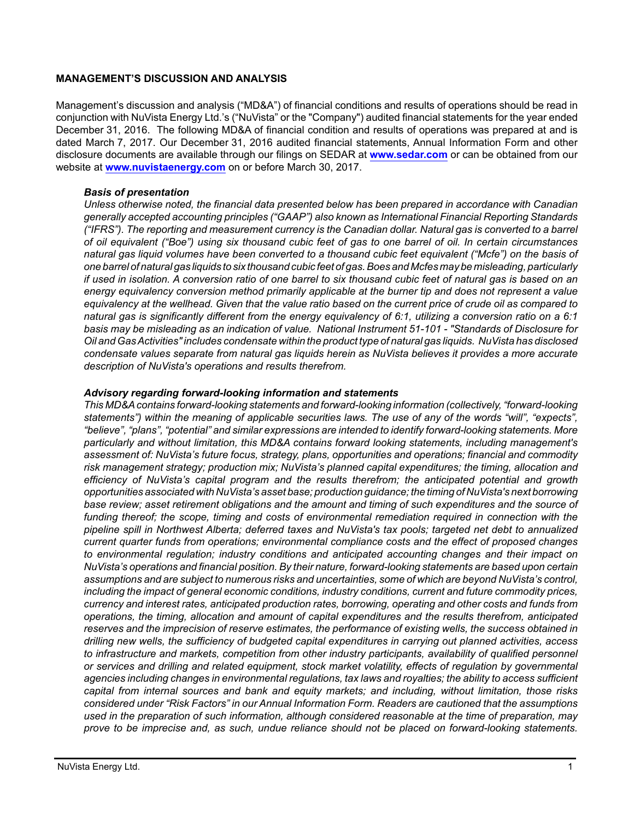#### **MANAGEMENT'S DISCUSSION AND ANALYSIS**

Management's discussion and analysis ("MD&A") of financial conditions and results of operations should be read in conjunction with NuVista Energy Ltd.'s ("NuVista" or the "Company") audited financial statements for the year ended December 31, 2016. The following MD&A of financial condition and results of operations was prepared at and is dated March 7, 2017. Our December 31, 2016 audited financial statements, Annual Information Form and other disclosure documents are available through our filings on SEDAR at **[www.sedar.com](http://www.sedar.com)** or can be obtained from our website at **[www.nuvistaenergy.com](http://www.nuvistaenergy.com)** on or before March 30, 2017.

#### *Basis of presentation*

*Unless otherwise noted, the financial data presented below has been prepared in accordance with Canadian generally accepted accounting principles ("GAAP") also known as International Financial Reporting Standards ("IFRS"). The reporting and measurement currency is the Canadian dollar. Natural gas is converted to a barrel of oil equivalent ("Boe") using six thousand cubic feet of gas to one barrel of oil. In certain circumstances natural gas liquid volumes have been converted to a thousand cubic feet equivalent ("Mcfe") on the basis of one barrel of natural gas liquids to six thousand cubic feet of gas. Boes and Mcfes may be misleading, particularly if used in isolation. A conversion ratio of one barrel to six thousand cubic feet of natural gas is based on an energy equivalency conversion method primarily applicable at the burner tip and does not represent a value equivalency at the wellhead. Given that the value ratio based on the current price of crude oil as compared to natural gas is significantly different from the energy equivalency of 6:1, utilizing a conversion ratio on a 6:1 basis may be misleading as an indication of value. National Instrument 51-101 - "Standards of Disclosure for Oil and Gas Activities" includes condensate within the product type of natural gas liquids. NuVista has disclosed condensate values separate from natural gas liquids herein as NuVista believes it provides a more accurate description of NuVista's operations and results therefrom.* 

#### *Advisory regarding forward-looking information and statements*

*This MD&A contains forward-looking statements and forward-looking information (collectively, "forward-looking statements") within the meaning of applicable securities laws. The use of any of the words "will", "expects", "believe", "plans", "potential" and similar expressions are intended to identify forward-looking statements. More particularly and without limitation, this MD&A contains forward looking statements, including management's assessment of: NuVista's future focus, strategy, plans, opportunities and operations; financial and commodity risk management strategy; production mix; NuVista's planned capital expenditures; the timing, allocation and efficiency of NuVista's capital program and the results therefrom; the anticipated potential and growth opportunities associated with NuVista's asset base; production guidance; the timing of NuVista's next borrowing base review; asset retirement obligations and the amount and timing of such expenditures and the source of funding thereof; the scope, timing and costs of environmental remediation required in connection with the pipeline spill in Northwest Alberta; deferred taxes and NuVista's tax pools; targeted net debt to annualized current quarter funds from operations; environmental compliance costs and the effect of proposed changes to environmental regulation; industry conditions and anticipated accounting changes and their impact on NuVista's operations and financial position. By their nature, forward-looking statements are based upon certain assumptions and are subject to numerous risks and uncertainties, some of which are beyond NuVista's control, including the impact of general economic conditions, industry conditions, current and future commodity prices, currency and interest rates, anticipated production rates, borrowing, operating and other costs and funds from operations, the timing, allocation and amount of capital expenditures and the results therefrom, anticipated reserves and the imprecision of reserve estimates, the performance of existing wells, the success obtained in drilling new wells, the sufficiency of budgeted capital expenditures in carrying out planned activities, access to infrastructure and markets, competition from other industry participants, availability of qualified personnel or services and drilling and related equipment, stock market volatility, effects of regulation by governmental agencies including changes in environmental regulations, tax laws and royalties; the ability to access sufficient capital from internal sources and bank and equity markets; and including, without limitation, those risks considered under "Risk Factors" in our Annual Information Form. Readers are cautioned that the assumptions used in the preparation of such information, although considered reasonable at the time of preparation, may prove to be imprecise and, as such, undue reliance should not be placed on forward-looking statements.*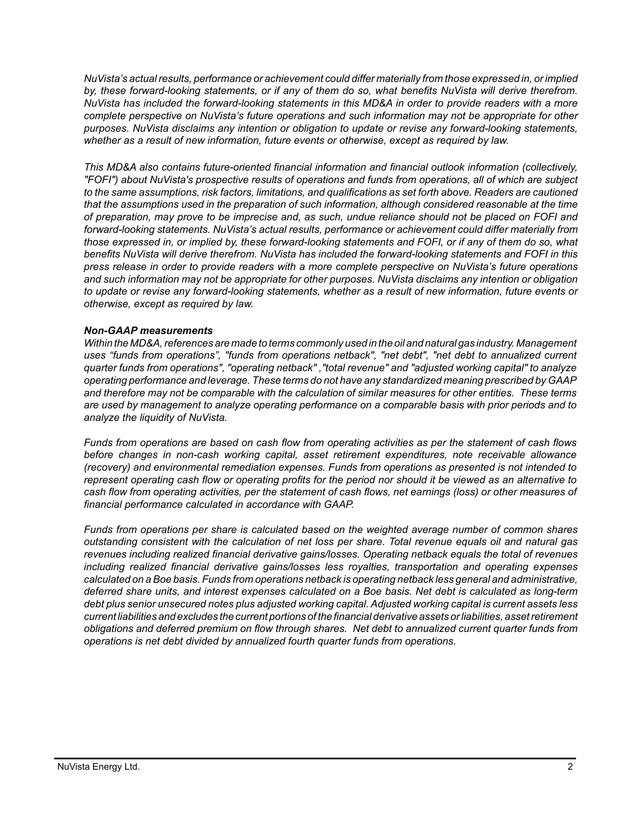*NuVista's actual results, performance or achievement could differ materially from those expressed in, or implied by, these forward-looking statements, or if any of them do so, what benefits NuVista will derive therefrom. NuVista has included the forward-looking statements in this MD&A in order to provide readers with a more complete perspective on NuVista's future operations and such information may not be appropriate for other purposes. NuVista disclaims any intention or obligation to update or revise any forward-looking statements, whether as a result of new information, future events or otherwise, except as required by law.*

*This MD&A also contains future-oriented financial information and financial outlook information (collectively, "FOFI") about NuVista's prospective results of operations and funds from operations, all of which are subject to the same assumptions, risk factors, limitations, and qualifications as set forth above. Readers are cautioned that the assumptions used in the preparation of such information, although considered reasonable at the time of preparation, may prove to be imprecise and, as such, undue reliance should not be placed on FOFI and forward-looking statements. NuVista's actual results, performance or achievement could differ materially from those expressed in, or implied by, these forward-looking statements and FOFI, or if any of them do so, what benefits NuVista will derive therefrom. NuVista has included the forward-looking statements and FOFI in this press release in order to provide readers with a more complete perspective on NuVista's future operations and such information may not be appropriate for other purposes. NuVista disclaims any intention or obligation to update or revise any forward-looking statements, whether as a result of new information, future events or otherwise, except as required by law.*

#### *Non-GAAP measurements*

*Within the MD&A, references are made to terms commonly used in the oil and natural gas industry. Management uses "funds from operations", "funds from operations netback", "net debt", "net debt to annualized current quarter funds from operations", "operating netback" ,"total revenue" and "adjusted working capital" to analyze operating performance and leverage. These terms do not have any standardized meaning prescribed by GAAP and therefore may not be comparable with the calculation of similar measures for other entities. These terms are used by management to analyze operating performance on a comparable basis with prior periods and to analyze the liquidity of NuVista.* 

*Funds from operations are based on cash flow from operating activities as per the statement of cash flows before changes in non-cash working capital, asset retirement expenditures, note receivable allowance (recovery) and environmental remediation expenses. Funds from operations as presented is not intended to represent operating cash flow or operating profits for the period nor should it be viewed as an alternative to cash flow from operating activities, per the statement of cash flows, net earnings (loss) or other measures of financial performance calculated in accordance with GAAP.* 

*Funds from operations per share is calculated based on the weighted average number of common shares outstanding consistent with the calculation of net loss per share. Total revenue equals oil and natural gas revenues including realized financial derivative gains/losses. Operating netback equals the total of revenues including realized financial derivative gains/losses less royalties, transportation and operating expenses calculated on a Boe basis. Funds from operations netback is operating netback less general and administrative, deferred share units, and interest expenses calculated on a Boe basis. Net debt is calculated as long-term debt plus senior unsecured notes plus adjusted working capital. Adjusted working capital is current assets less current liabilities and excludes the current portions of the financial derivative assets or liabilities, asset retirement obligations and deferred premium on flow through shares. Net debt to annualized current quarter funds from operations is net debt divided by annualized fourth quarter funds from operations.*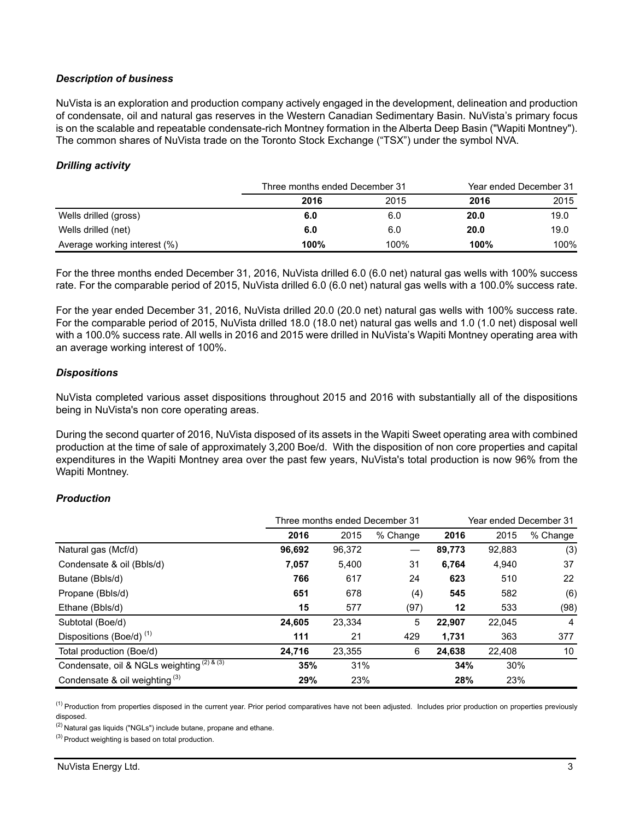### *Description of business*

NuVista is an exploration and production company actively engaged in the development, delineation and production of condensate, oil and natural gas reserves in the Western Canadian Sedimentary Basin. NuVista's primary focus is on the scalable and repeatable condensate-rich Montney formation in the Alberta Deep Basin ("Wapiti Montney"). The common shares of NuVista trade on the Toronto Stock Exchange ("TSX") under the symbol NVA.

#### *Drilling activity*

|                              | Three months ended December 31 |      | Year ended December 31 |      |  |
|------------------------------|--------------------------------|------|------------------------|------|--|
|                              | 2016                           | 2015 | 2016                   | 2015 |  |
| Wells drilled (gross)        | 6.0                            | 6.0  | 20.0                   | 19.0 |  |
| Wells drilled (net)          | 6.0                            | 6.0  | 20.0                   | 19.0 |  |
| Average working interest (%) | 100%                           | 100% | 100%                   | 100% |  |

For the three months ended December 31, 2016, NuVista drilled 6.0 (6.0 net) natural gas wells with 100% success rate. For the comparable period of 2015, NuVista drilled 6.0 (6.0 net) natural gas wells with a 100.0% success rate.

For the year ended December 31, 2016, NuVista drilled 20.0 (20.0 net) natural gas wells with 100% success rate. For the comparable period of 2015, NuVista drilled 18.0 (18.0 net) natural gas wells and 1.0 (1.0 net) disposal well with a 100.0% success rate. All wells in 2016 and 2015 were drilled in NuVista's Wapiti Montney operating area with an average working interest of 100%.

#### *Dispositions*

NuVista completed various asset dispositions throughout 2015 and 2016 with substantially all of the dispositions being in NuVista's non core operating areas.

During the second quarter of 2016, NuVista disposed of its assets in the Wapiti Sweet operating area with combined production at the time of sale of approximately 3,200 Boe/d. With the disposition of non core properties and capital expenditures in the Wapiti Montney area over the past few years, NuVista's total production is now 96% from the Wapiti Montney.

### *Production*

|                                            | Three months ended December 31 |        |          |        | Year ended December 31 |          |  |
|--------------------------------------------|--------------------------------|--------|----------|--------|------------------------|----------|--|
|                                            | 2016                           | 2015   | % Change | 2016   | 2015                   | % Change |  |
| Natural gas (Mcf/d)                        | 96,692                         | 96,372 |          | 89,773 | 92,883                 | (3)      |  |
| Condensate & oil (Bbls/d)                  | 7,057                          | 5,400  | 31       | 6,764  | 4,940                  | 37       |  |
| Butane (Bbls/d)                            | 766                            | 617    | 24       | 623    | 510                    | 22       |  |
| Propane (Bbls/d)                           | 651                            | 678    | (4)      | 545    | 582                    | (6)      |  |
| Ethane (Bbls/d)                            | 15                             | 577    | (97)     | 12     | 533                    | (98)     |  |
| Subtotal (Boe/d)                           | 24,605                         | 23,334 | 5        | 22,907 | 22,045                 | 4        |  |
| Dispositions (Boe/d) <sup>(1)</sup>        | 111                            | 21     | 429      | 1,731  | 363                    | 377      |  |
| Total production (Boe/d)                   | 24,716                         | 23,355 | 6        | 24,638 | 22,408                 | 10       |  |
| Condensate, oil & NGLs weighting (2) & (3) | 35%                            | 31%    |          | 34%    | 30%                    |          |  |
| Condensate & oil weighting $(3)$           | 29%                            | 23%    |          | 28%    | 23%                    |          |  |

<sup>(1)</sup> Production from properties disposed in the current year. Prior period comparatives have not been adjusted. Includes prior production on properties previously disposed.

 $(2)$  Natural gas liquids ("NGLs") include butane, propane and ethane.

 $^{(3)}$  Product weighting is based on total production.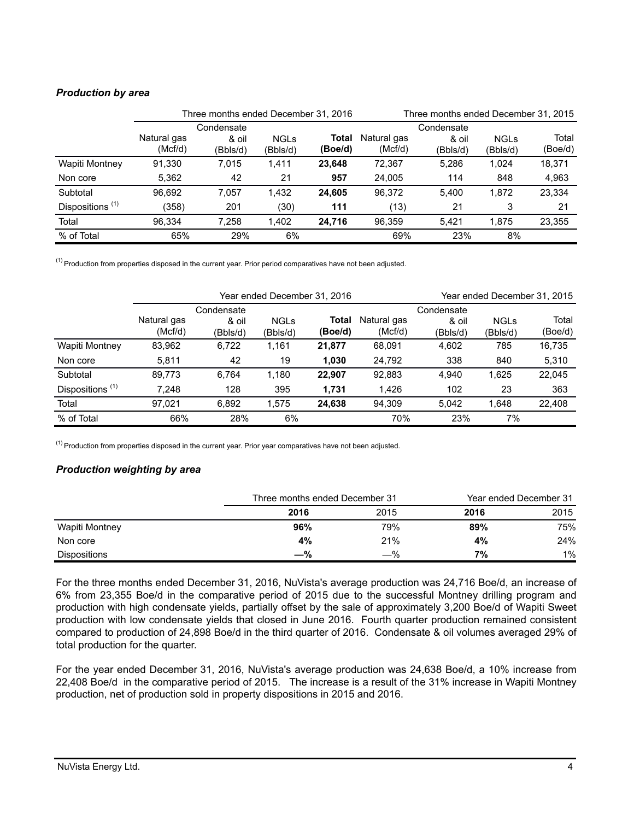## *Production by area*

|                             | Three months ended December 31, 2016 |            |             |         | Three months ended December 31, 2015 |            |             |         |
|-----------------------------|--------------------------------------|------------|-------------|---------|--------------------------------------|------------|-------------|---------|
|                             |                                      | Condensate |             |         |                                      | Condensate |             |         |
|                             | Natural gas                          | & oil      | <b>NGLs</b> | Total   | Natural gas                          | & oil      | <b>NGLs</b> | Total   |
|                             | (Mcf/d)                              | (Bbls/d)   | (Bbls/d)    | (Boe/d) | (Mcf/d)                              | (Bbls/d)   | (Bbls/d)    | (Boe/d) |
| Wapiti Montney              | 91.330                               | 7,015      | 1,411       | 23.648  | 72.367                               | 5,286      | 1.024       | 18,371  |
| Non core                    | 5,362                                | 42         | 21          | 957     | 24,005                               | 114        | 848         | 4,963   |
| Subtotal                    | 96.692                               | 7.057      | 1,432       | 24.605  | 96.372                               | 5.400      | 1.872       | 23.334  |
| Dispositions <sup>(1)</sup> | (358)                                | 201        | (30)        | 111     | (13)                                 | 21         | 3           | 21      |
| Total                       | 96.334                               | 7,258      | 1,402       | 24,716  | 96,359                               | 5.421      | 1.875       | 23,355  |
| % of Total                  | 65%                                  | 29%        | 6%          |         | 69%                                  | 23%        | 8%          |         |

 $<sup>(1)</sup>$  Production from properties disposed in the current year. Prior period comparatives have not been adjusted.</sup>

|                             | Year ended December 31, 2016 |                                 |                         |                  |                        |                                 | Year ended December 31, 2015 |                  |
|-----------------------------|------------------------------|---------------------------------|-------------------------|------------------|------------------------|---------------------------------|------------------------------|------------------|
|                             | Natural gas<br>(Mcf/d)       | Condensate<br>& oil<br>(Bbls/d) | <b>NGLs</b><br>(Bbls/d) | Total<br>(Boe/d) | Natural gas<br>(Mcf/d) | Condensate<br>& oil<br>(Bbls/d) | <b>NGLs</b><br>(Bbls/d)      | Total<br>(Boe/d) |
| Wapiti Montney              | 83,962                       | 6,722                           | 1,161                   | 21,877           | 68.091                 | 4,602                           | 785                          | 16,735           |
| Non core                    | 5,811                        | 42                              | 19                      | 1,030            | 24,792                 | 338                             | 840                          | 5,310            |
| Subtotal                    | 89.773                       | 6.764                           | 1.180                   | 22.907           | 92.883                 | 4.940                           | 1,625                        | 22.045           |
| Dispositions <sup>(1)</sup> | 7.248                        | 128                             | 395                     | 1,731            | 1,426                  | 102                             | 23                           | 363              |
| Total                       | 97.021                       | 6.892                           | 1.575                   | 24,638           | 94.309                 | 5.042                           | 1.648                        | 22,408           |
| % of Total                  | 66%                          | 28%                             | 6%                      |                  | 70%                    | 23%                             | 7%                           |                  |

 $<sup>(1)</sup>$  Production from properties disposed in the current year. Prior year comparatives have not been adjusted.</sup>

### *Production weighting by area*

|                     | Three months ended December 31 |       |      | Year ended December 31 |  |  |
|---------------------|--------------------------------|-------|------|------------------------|--|--|
|                     | 2016                           | 2015  | 2016 | 2015                   |  |  |
| Wapiti Montney      | 96%                            | 79%   | 89%  | 75%                    |  |  |
| Non core            | 4%                             | 21%   | 4%   | 24%                    |  |  |
| <b>Dispositions</b> | $-\%$                          | $-\%$ | 7%   | 1%                     |  |  |

For the three months ended December 31, 2016, NuVista's average production was 24,716 Boe/d, an increase of 6% from 23,355 Boe/d in the comparative period of 2015 due to the successful Montney drilling program and production with high condensate yields, partially offset by the sale of approximately 3,200 Boe/d of Wapiti Sweet production with low condensate yields that closed in June 2016. Fourth quarter production remained consistent compared to production of 24,898 Boe/d in the third quarter of 2016. Condensate & oil volumes averaged 29% of total production for the quarter.

For the year ended December 31, 2016, NuVista's average production was 24,638 Boe/d, a 10% increase from 22,408 Boe/d in the comparative period of 2015. The increase is a result of the 31% increase in Wapiti Montney production, net of production sold in property dispositions in 2015 and 2016.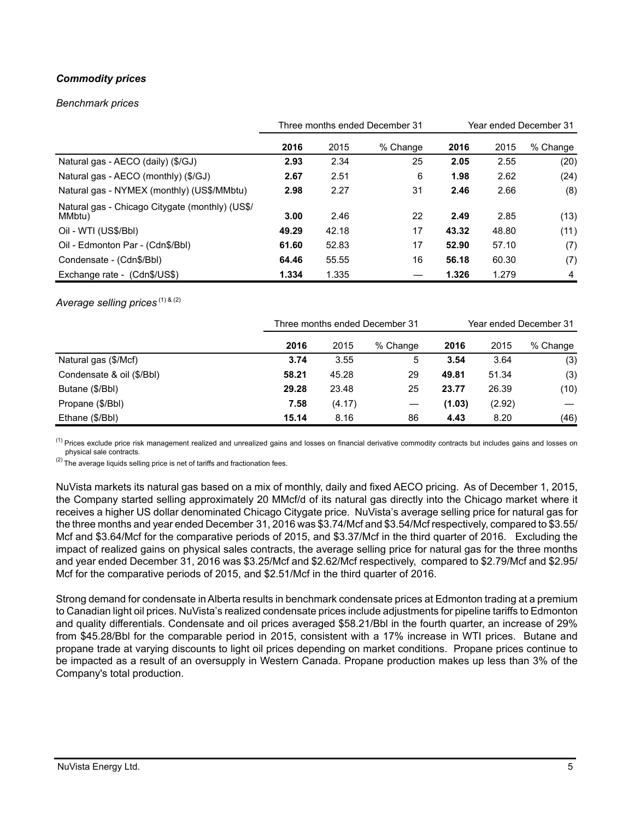# *Commodity prices*

#### *Benchmark prices*

|                                                           | Three months ended December 31 |       |          |       | Year ended December 31 |          |  |
|-----------------------------------------------------------|--------------------------------|-------|----------|-------|------------------------|----------|--|
|                                                           | 2016                           | 2015  | % Change | 2016  | 2015                   | % Change |  |
| Natural gas - AECO (daily) (\$/GJ)                        | 2.93                           | 2.34  | 25       | 2.05  | 2.55                   | (20)     |  |
| Natural gas - AECO (monthly) (\$/GJ)                      | 2.67                           | 2.51  | 6        | 1.98  | 2.62                   | (24)     |  |
| Natural gas - NYMEX (monthly) (US\$/MMbtu)                | 2.98                           | 2.27  | 31       | 2.46  | 2.66                   | (8)      |  |
| Natural gas - Chicago Citygate (monthly) (US\$/<br>MMbtu) | 3.00                           | 2.46  | 22       | 2.49  | 2.85                   | (13)     |  |
| Oil - WTI (US\$/Bbl)                                      | 49.29                          | 42.18 | 17       | 43.32 | 48.80                  | (11)     |  |
| Oil - Edmonton Par - (Cdn\$/Bbl)                          | 61.60                          | 52.83 | 17       | 52.90 | 57.10                  | (7)      |  |
| Condensate - (Cdn\$/Bbl)                                  | 64.46                          | 55.55 | 16       | 56.18 | 60.30                  | (7)      |  |
| Exchange rate - (Cdn\$/US\$)                              | 1.334                          | 1.335 |          | 1.326 | 1.279                  | 4        |  |

Average selling prices<sup>(1) & (2)</sup>

|                           |       | Three months ended December 31 |          |        | Year ended December 31 |          |  |
|---------------------------|-------|--------------------------------|----------|--------|------------------------|----------|--|
|                           | 2016  | 2015                           | % Change | 2016   | 2015                   | % Change |  |
| Natural gas (\$/Mcf)      | 3.74  | 3.55                           | 5        | 3.54   | 3.64                   | (3)      |  |
| Condensate & oil (\$/Bbl) | 58.21 | 45.28                          | 29       | 49.81  | 51.34                  | (3)      |  |
| Butane (\$/Bbl)           | 29.28 | 23.48                          | 25       | 23.77  | 26.39                  | (10)     |  |
| Propane (\$/Bbl)          | 7.58  | (4.17)                         |          | (1.03) | (2.92)                 |          |  |
| Ethane (\$/Bbl)           | 15.14 | 8.16                           | 86       | 4.43   | 8.20                   | (46)     |  |

<sup>(1)</sup> Prices exclude price risk management realized and unrealized gains and losses on financial derivative commodity contracts but includes gains and losses on physical sale contracts.

 $(2)$  The average liquids selling price is net of tariffs and fractionation fees.

NuVista markets its natural gas based on a mix of monthly, daily and fixed AECO pricing. As of December 1, 2015, the Company started selling approximately 20 MMcf/d of its natural gas directly into the Chicago market where it receives a higher US dollar denominated Chicago Citygate price. NuVista's average selling price for natural gas for the three months and year ended December 31, 2016 was \$3.74/Mcf and \$3.54/Mcf respectively, compared to \$3.55/ Mcf and \$3.64/Mcf for the comparative periods of 2015, and \$3.37/Mcf in the third quarter of 2016. Excluding the impact of realized gains on physical sales contracts, the average selling price for natural gas for the three months and year ended December 31, 2016 was \$3.25/Mcf and \$2.62/Mcf respectively, compared to \$2.79/Mcf and \$2.95/ Mcf for the comparative periods of 2015, and \$2.51/Mcf in the third quarter of 2016.

Strong demand for condensate in Alberta results in benchmark condensate prices at Edmonton trading at a premium to Canadian light oil prices. NuVista's realized condensate prices include adjustments for pipeline tariffs to Edmonton and quality differentials. Condensate and oil prices averaged \$58.21/Bbl in the fourth quarter, an increase of 29% from \$45.28/Bbl for the comparable period in 2015, consistent with a 17% increase in WTI prices. Butane and propane trade at varying discounts to light oil prices depending on market conditions. Propane prices continue to be impacted as a result of an oversupply in Western Canada. Propane production makes up less than 3% of the Company's total production.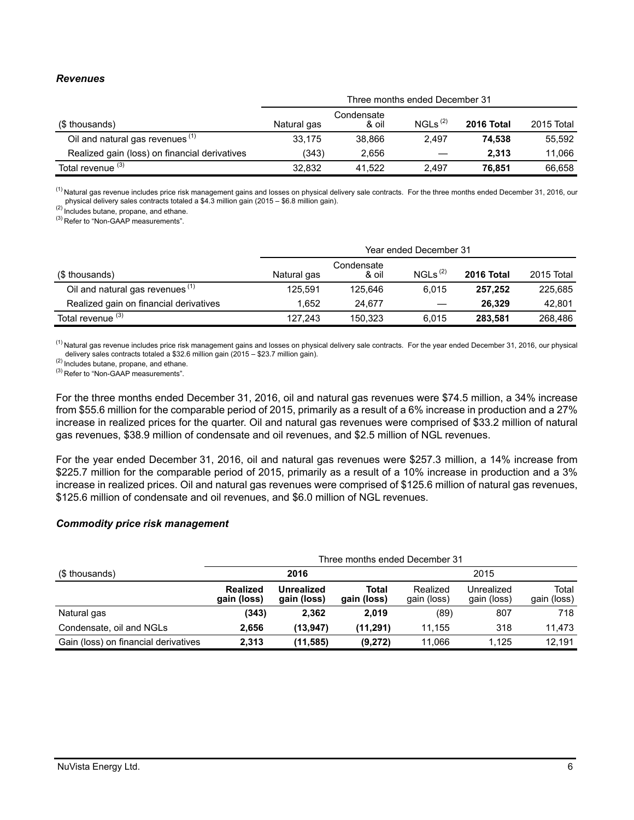#### *Revenues*

|                                               | Three months ended December 31 |                     |                     |            |            |  |  |
|-----------------------------------------------|--------------------------------|---------------------|---------------------|------------|------------|--|--|
| (\$ thousands)                                | Natural gas                    | Condensate<br>& oil | NGLs <sup>(2)</sup> | 2016 Total | 2015 Total |  |  |
| Oil and natural gas revenues (1)              | 33.175                         | 38.866              | 2.497               | 74.538     | 55.592     |  |  |
| Realized gain (loss) on financial derivatives | (343)                          | 2.656               | $\hspace{0.05cm}$   | 2.313      | 11.066     |  |  |
| Total revenue <sup>(3)</sup>                  | 32.832                         | 41.522              | 2.497               | 76.851     | 66.658     |  |  |

<sup>(1)</sup> Natural gas revenue includes price risk management gains and losses on physical delivery sale contracts. For the three months ended December 31, 2016, our physical delivery sales contracts totaled a \$4.3 million gain (2015 – \$6.8 million gain).

(2) Includes butane, propane, and ethane.

(3) Refer to "Non-GAAP measurements".

|                                             |             | Year ended December 31 |                     |            |            |  |  |
|---------------------------------------------|-------------|------------------------|---------------------|------------|------------|--|--|
| (\$ thousands)                              | Natural gas | Condensate<br>& oil    | NGLs <sup>(2)</sup> | 2016 Total | 2015 Total |  |  |
| Oil and natural gas revenues <sup>(1)</sup> | 125.591     | 125.646                | 6.015               | 257.252    | 225,685    |  |  |
| Realized gain on financial derivatives      | 1.652       | 24.677                 |                     | 26.329     | 42.801     |  |  |
| Total revenue <sup>(3)</sup>                | 127.243     | 150.323                | 6.015               | 283,581    | 268.486    |  |  |

<sup>(1)</sup> Natural gas revenue includes price risk management gains and losses on physical delivery sale contracts. For the year ended December 31, 2016, our physical delivery sales contracts totaled a \$32.6 million gain (2015 – \$23.7 million gain).

(2) Includes butane, propane, and ethane.

(3) Refer to "Non-GAAP measurements".

For the three months ended December 31, 2016, oil and natural gas revenues were \$74.5 million, a 34% increase from \$55.6 million for the comparable period of 2015, primarily as a result of a 6% increase in production and a 27% increase in realized prices for the quarter. Oil and natural gas revenues were comprised of \$33.2 million of natural gas revenues, \$38.9 million of condensate and oil revenues, and \$2.5 million of NGL revenues.

For the year ended December 31, 2016, oil and natural gas revenues were \$257.3 million, a 14% increase from \$225.7 million for the comparable period of 2015, primarily as a result of a 10% increase in production and a 3% increase in realized prices. Oil and natural gas revenues were comprised of \$125.6 million of natural gas revenues, \$125.6 million of condensate and oil revenues, and \$6.0 million of NGL revenues.

#### *Commodity price risk management*

|                                      |                                |                                  | Three months ended December 31 |                         |                                                                                 |        |  |  |  |
|--------------------------------------|--------------------------------|----------------------------------|--------------------------------|-------------------------|---------------------------------------------------------------------------------|--------|--|--|--|
| (\$ thousands)                       |                                | 2016                             |                                |                         | 2015<br>Total<br>Unrealized<br>gain (loss)<br>gain (loss)<br>718<br>(89)<br>807 |        |  |  |  |
|                                      | <b>Realized</b><br>gain (loss) | <b>Unrealized</b><br>gain (loss) | Total<br>gain (loss)           | Realized<br>gain (loss) |                                                                                 |        |  |  |  |
| Natural gas                          | (343)                          | 2,362                            | 2.019                          |                         |                                                                                 |        |  |  |  |
| Condensate, oil and NGLs             | 2,656                          | (13,947)                         | (11, 291)                      | 11.155                  | 318                                                                             | 11,473 |  |  |  |
| Gain (loss) on financial derivatives | 2.313                          | (11,585)                         | (9,272)                        | 11.066                  | 1.125                                                                           | 12.191 |  |  |  |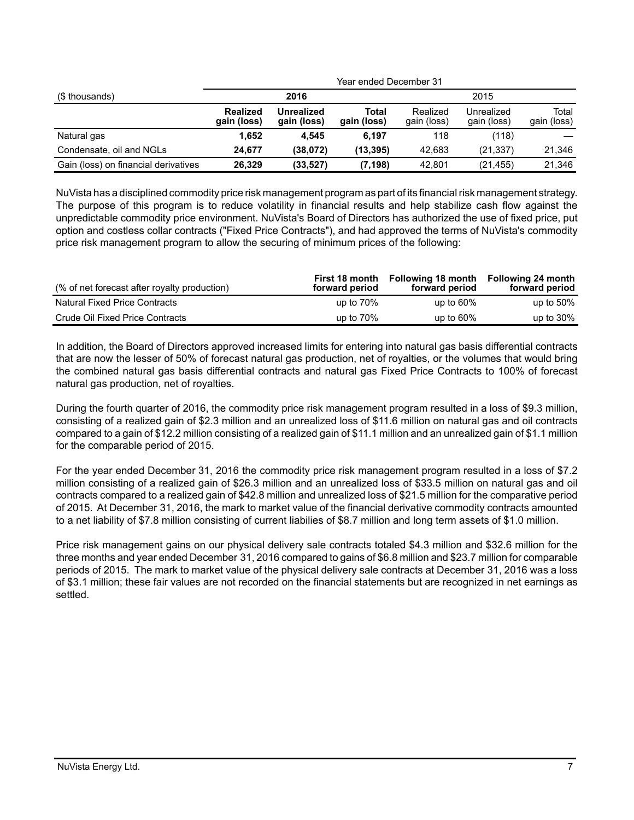|                                      |                                |                           | Year ended December 31 |                         |                           |                      |  |  |  |  |
|--------------------------------------|--------------------------------|---------------------------|------------------------|-------------------------|---------------------------|----------------------|--|--|--|--|
| (\$ thousands)                       |                                | 2016                      |                        |                         | 2015                      |                      |  |  |  |  |
|                                      | <b>Realized</b><br>gain (loss) | Unrealized<br>gain (loss) | Total<br>gain (loss)   | Realized<br>gain (loss) | Unrealized<br>gain (loss) | Total<br>gain (loss) |  |  |  |  |
| Natural gas                          | 1.652                          | 4.545                     | 6.197                  | 118                     | (118)                     |                      |  |  |  |  |
| Condensate, oil and NGLs             | 24.677                         | (38,072)                  | (13, 395)              | 42.683                  | (21, 337)                 | 21,346               |  |  |  |  |
| Gain (loss) on financial derivatives | 26,329                         | (33, 527)                 | (7, 198)               | 42.801                  | (21, 455)                 | 21,346               |  |  |  |  |

NuVista has a disciplined commodity price risk management program as part of its financial risk management strategy. The purpose of this program is to reduce volatility in financial results and help stabilize cash flow against the unpredictable commodity price environment. NuVista's Board of Directors has authorized the use of fixed price, put option and costless collar contracts ("Fixed Price Contracts"), and had approved the terms of NuVista's commodity price risk management program to allow the securing of minimum prices of the following:

| (% of net forecast after royalty production) | First 18 month<br>forward period | Following 18 month<br>forward period | Following 24 month<br>forward period |
|----------------------------------------------|----------------------------------|--------------------------------------|--------------------------------------|
| <b>Natural Fixed Price Contracts</b>         | up to $70\%$                     | up to $60\%$                         | up to $50\%$                         |
| Crude Oil Fixed Price Contracts              | up to $70\%$                     | up to $60\%$                         | up to $30\%$                         |

In addition, the Board of Directors approved increased limits for entering into natural gas basis differential contracts that are now the lesser of 50% of forecast natural gas production, net of royalties, or the volumes that would bring the combined natural gas basis differential contracts and natural gas Fixed Price Contracts to 100% of forecast natural gas production, net of royalties.

During the fourth quarter of 2016, the commodity price risk management program resulted in a loss of \$9.3 million, consisting of a realized gain of \$2.3 million and an unrealized loss of \$11.6 million on natural gas and oil contracts compared to a gain of \$12.2 million consisting of a realized gain of \$11.1 million and an unrealized gain of \$1.1 million for the comparable period of 2015.

For the year ended December 31, 2016 the commodity price risk management program resulted in a loss of \$7.2 million consisting of a realized gain of \$26.3 million and an unrealized loss of \$33.5 million on natural gas and oil contracts compared to a realized gain of \$42.8 million and unrealized loss of \$21.5 million for the comparative period of 2015. At December 31, 2016, the mark to market value of the financial derivative commodity contracts amounted to a net liability of \$7.8 million consisting of current liabilies of \$8.7 million and long term assets of \$1.0 million.

Price risk management gains on our physical delivery sale contracts totaled \$4.3 million and \$32.6 million for the three months and year ended December 31, 2016 compared to gains of \$6.8 million and \$23.7 million for comparable periods of 2015. The mark to market value of the physical delivery sale contracts at December 31, 2016 was a loss of \$3.1 million; these fair values are not recorded on the financial statements but are recognized in net earnings as settled.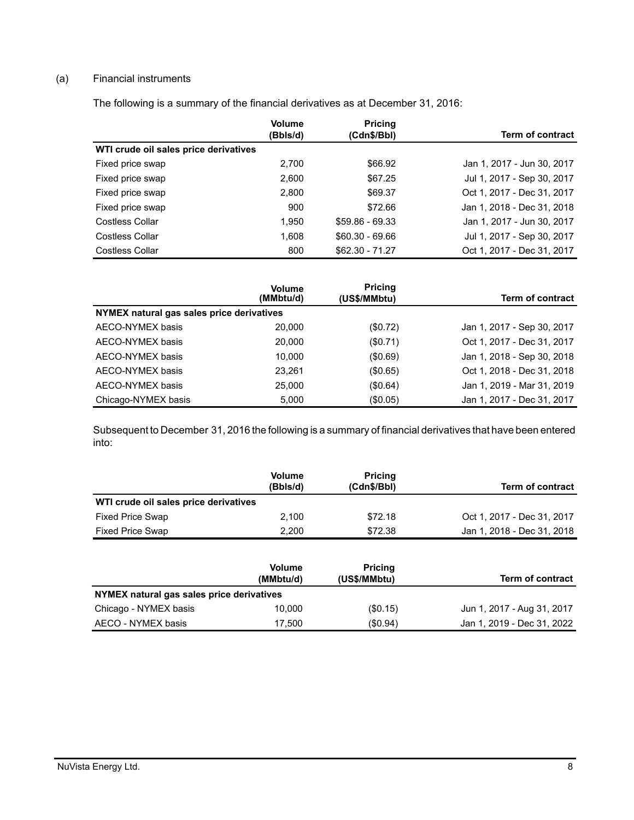## (a) Financial instruments

The following is a summary of the financial derivatives as at December 31, 2016:

|                                       | <b>Volume</b><br>(Bbls/d) | <b>Pricing</b><br>(Cdn\$/Bbl) | <b>Term of contract</b>    |
|---------------------------------------|---------------------------|-------------------------------|----------------------------|
| WTI crude oil sales price derivatives |                           |                               |                            |
| Fixed price swap                      | 2,700                     | \$66.92                       | Jan 1, 2017 - Jun 30, 2017 |
| Fixed price swap                      | 2.600                     | \$67.25                       | Jul 1, 2017 - Sep 30, 2017 |
| Fixed price swap                      | 2,800                     | \$69.37                       | Oct 1, 2017 - Dec 31, 2017 |
| Fixed price swap                      | 900                       | \$72.66                       | Jan 1, 2018 - Dec 31, 2018 |
| Costless Collar                       | 1.950                     | $$59.86 - 69.33$              | Jan 1, 2017 - Jun 30, 2017 |
| Costless Collar                       | 1.608                     | $$60.30 - 69.66$              | Jul 1, 2017 - Sep 30, 2017 |
| Costless Collar                       | 800                       | $$62.30 - 71.27$              | Oct 1, 2017 - Dec 31, 2017 |

|                                           | <b>Volume</b><br>(MMbtu/d) | <b>Pricing</b><br>(US\$/MMbtu) | <b>Term of contract</b>    |
|-------------------------------------------|----------------------------|--------------------------------|----------------------------|
| NYMEX natural gas sales price derivatives |                            |                                |                            |
| AECO-NYMEX basis                          | 20,000                     | (S0.72)                        | Jan 1, 2017 - Sep 30, 2017 |
| AECO-NYMEX basis                          | 20,000                     | (S0.71)                        | Oct 1, 2017 - Dec 31, 2017 |
| AECO-NYMEX basis                          | 10.000                     | $($ \$0.69)                    | Jan 1, 2018 - Sep 30, 2018 |
| AECO-NYMEX basis                          | 23.261                     | (\$0.65)                       | Oct 1, 2018 - Dec 31, 2018 |
| AECO-NYMEX basis                          | 25,000                     | (\$0.64)                       | Jan 1, 2019 - Mar 31, 2019 |
| Chicago-NYMEX basis                       | 5.000                      | (\$0.05)                       | Jan 1, 2017 - Dec 31, 2017 |

Subsequent to December 31, 2016 the following is a summary of financial derivatives that have been entered into:

|                                       | <b>Volume</b><br>(Bbls/d) | <b>Pricing</b><br>(Cdn\$/Bbl) | <b>Term of contract</b>    |
|---------------------------------------|---------------------------|-------------------------------|----------------------------|
| WTI crude oil sales price derivatives |                           |                               |                            |
| <b>Fixed Price Swap</b>               | 2.100                     | \$72.18                       | Oct 1, 2017 - Dec 31, 2017 |
| <b>Fixed Price Swap</b>               | 2.200                     | \$72.38                       | Jan 1, 2018 - Dec 31, 2018 |

|                                           | <b>Volume</b><br>(MMbtu/d) | <b>Pricing</b><br>(US\$/MMbtu) | Term of contract           |
|-------------------------------------------|----------------------------|--------------------------------|----------------------------|
| NYMEX natural gas sales price derivatives |                            |                                |                            |
| Chicago - NYMEX basis                     | 10.000                     | (\$0.15)                       | Jun 1, 2017 - Aug 31, 2017 |
| AECO - NYMEX basis                        | 17.500                     | (\$0.94)                       | Jan 1, 2019 - Dec 31, 2022 |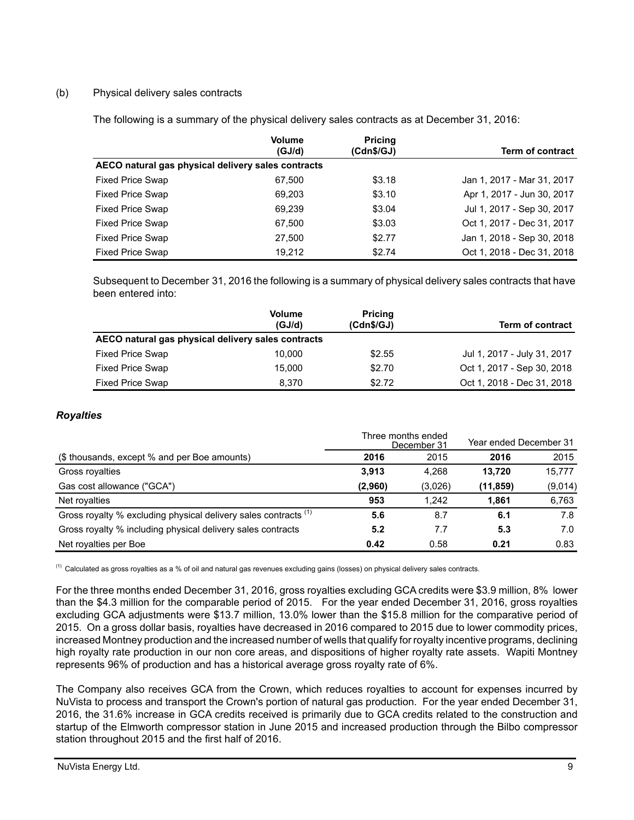# (b) Physical delivery sales contracts

The following is a summary of the physical delivery sales contracts as at December 31, 2016:

|                                                    | <b>Volume</b><br>(GJ/d) | <b>Pricing</b><br>(Cdn\$/GJ) | <b>Term of contract</b>    |
|----------------------------------------------------|-------------------------|------------------------------|----------------------------|
| AECO natural gas physical delivery sales contracts |                         |                              |                            |
| <b>Fixed Price Swap</b>                            | 67.500                  | \$3.18                       | Jan 1, 2017 - Mar 31, 2017 |
| <b>Fixed Price Swap</b>                            | 69,203                  | \$3.10                       | Apr 1, 2017 - Jun 30, 2017 |
| <b>Fixed Price Swap</b>                            | 69,239                  | \$3.04                       | Jul 1, 2017 - Sep 30, 2017 |
| <b>Fixed Price Swap</b>                            | 67,500                  | \$3.03                       | Oct 1, 2017 - Dec 31, 2017 |
| <b>Fixed Price Swap</b>                            | 27,500                  | \$2.77                       | Jan 1, 2018 - Sep 30, 2018 |
| <b>Fixed Price Swap</b>                            | 19.212                  | \$2.74                       | Oct 1, 2018 - Dec 31, 2018 |

Subsequent to December 31, 2016 the following is a summary of physical delivery sales contracts that have been entered into:

|                                                    | <b>Volume</b><br>(GJ/d) | <b>Pricing</b><br>(Cdn\$/GJ) | Term of contract            |
|----------------------------------------------------|-------------------------|------------------------------|-----------------------------|
| AECO natural gas physical delivery sales contracts |                         |                              |                             |
| <b>Fixed Price Swap</b>                            | 10.000                  | \$2.55                       | Jul 1, 2017 - July 31, 2017 |
| <b>Fixed Price Swap</b>                            | 15.000                  | \$2.70                       | Oct 1, 2017 - Sep 30, 2018  |
| <b>Fixed Price Swap</b>                            | 8.370                   | \$2.72                       | Oct 1, 2018 - Dec 31, 2018  |

## *Royalties*

|                                                                 |         | Three months ended<br>December 31 | Year ended December 31 |         |
|-----------------------------------------------------------------|---------|-----------------------------------|------------------------|---------|
| (\$ thousands, except % and per Boe amounts)                    | 2016    | 2015                              | 2016                   | 2015    |
| Gross royalties                                                 | 3.913   | 4.268                             | 13.720                 | 15,777  |
| Gas cost allowance ("GCA")                                      | (2,960) | (3,026)                           | (11, 859)              | (9,014) |
| Net royalties                                                   | 953     | 1.242                             | 1.861                  | 6,763   |
| Gross royalty % excluding physical delivery sales contracts (1) | 5.6     | 8.7                               | 6.1                    | 7.8     |
| Gross royalty % including physical delivery sales contracts     | 5.2     | 7.7                               | 5.3                    | 7.0     |
| Net royalties per Boe                                           | 0.42    | 0.58                              | 0.21                   | 0.83    |

 $^{(1)}$  Calculated as gross royalties as a % of oil and natural gas revenues excluding gains (losses) on physical delivery sales contracts.

For the three months ended December 31, 2016, gross royalties excluding GCA credits were \$3.9 million, 8% lower than the \$4.3 million for the comparable period of 2015. For the year ended December 31, 2016, gross royalties excluding GCA adjustments were \$13.7 million, 13.0% lower than the \$15.8 million for the comparative period of 2015. On a gross dollar basis, royalties have decreased in 2016 compared to 2015 due to lower commodity prices, increased Montney production and the increased number of wells that qualify for royalty incentive programs, declining high royalty rate production in our non core areas, and dispositions of higher royalty rate assets. Wapiti Montney represents 96% of production and has a historical average gross royalty rate of 6%.

The Company also receives GCA from the Crown, which reduces royalties to account for expenses incurred by NuVista to process and transport the Crown's portion of natural gas production. For the year ended December 31, 2016, the 31.6% increase in GCA credits received is primarily due to GCA credits related to the construction and startup of the Elmworth compressor station in June 2015 and increased production through the Bilbo compressor station throughout 2015 and the first half of 2016.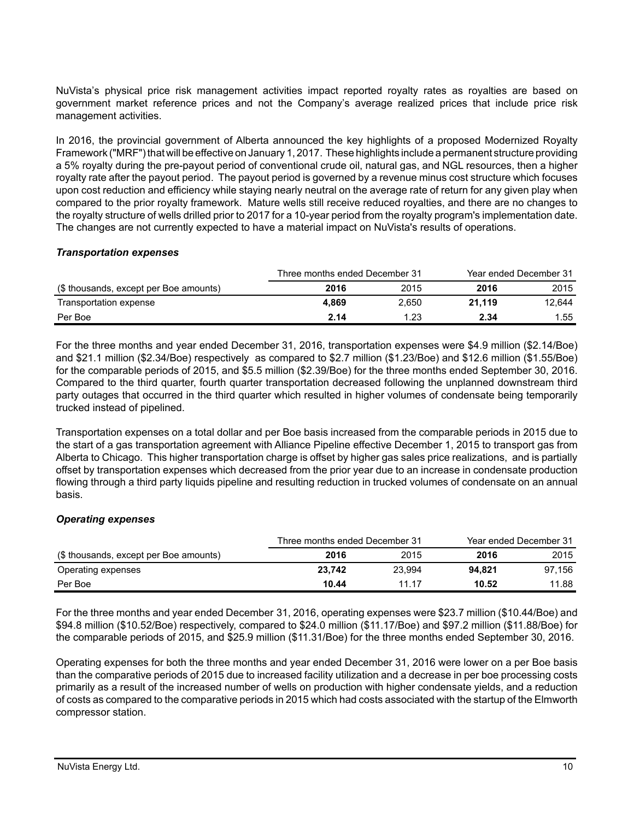NuVista's physical price risk management activities impact reported royalty rates as royalties are based on government market reference prices and not the Company's average realized prices that include price risk management activities.

In 2016, the provincial government of Alberta announced the key highlights of a proposed Modernized Royalty Framework ("MRF") that will be effective on January 1, 2017. These highlights include a permanent structure providing a 5% royalty during the pre-payout period of conventional crude oil, natural gas, and NGL resources, then a higher royalty rate after the payout period. The payout period is governed by a revenue minus cost structure which focuses upon cost reduction and efficiency while staying nearly neutral on the average rate of return for any given play when compared to the prior royalty framework. Mature wells still receive reduced royalties, and there are no changes to the royalty structure of wells drilled prior to 2017 for a 10-year period from the royalty program's implementation date. The changes are not currently expected to have a material impact on NuVista's results of operations.

### *Transportation expenses*

|                                        | Three months ended December 31 |       | Year ended December 31 |        |
|----------------------------------------|--------------------------------|-------|------------------------|--------|
| (\$ thousands, except per Boe amounts) | 2016                           | 2015  | 2016                   | 2015   |
| Transportation expense                 | 4.869                          | 2.650 | 21.119                 | 12.644 |
| Per Boe                                | 2.14                           | 1.23  | 2.34                   | 1.55   |

For the three months and year ended December 31, 2016, transportation expenses were \$4.9 million (\$2.14/Boe) and \$21.1 million (\$2.34/Boe) respectively as compared to \$2.7 million (\$1.23/Boe) and \$12.6 million (\$1.55/Boe) for the comparable periods of 2015, and \$5.5 million (\$2.39/Boe) for the three months ended September 30, 2016. Compared to the third quarter, fourth quarter transportation decreased following the unplanned downstream third party outages that occurred in the third quarter which resulted in higher volumes of condensate being temporarily trucked instead of pipelined.

Transportation expenses on a total dollar and per Boe basis increased from the comparable periods in 2015 due to the start of a gas transportation agreement with Alliance Pipeline effective December 1, 2015 to transport gas from Alberta to Chicago. This higher transportation charge is offset by higher gas sales price realizations, and is partially offset by transportation expenses which decreased from the prior year due to an increase in condensate production flowing through a third party liquids pipeline and resulting reduction in trucked volumes of condensate on an annual basis.

### *Operating expenses*

|                                        | Three months ended December 31 |        |        | Year ended December 31 |
|----------------------------------------|--------------------------------|--------|--------|------------------------|
| (\$ thousands, except per Boe amounts) | 2016                           | 2015   | 2016   | 2015                   |
| Operating expenses                     | 23,742                         | 23.994 | 94.821 | 97.156                 |
| Per Boe                                | 10.44                          | 11 17  | 10.52  | 11.88                  |

For the three months and year ended December 31, 2016, operating expenses were \$23.7 million (\$10.44/Boe) and \$94.8 million (\$10.52/Boe) respectively, compared to \$24.0 million (\$11.17/Boe) and \$97.2 million (\$11.88/Boe) for the comparable periods of 2015, and \$25.9 million (\$11.31/Boe) for the three months ended September 30, 2016.

Operating expenses for both the three months and year ended December 31, 2016 were lower on a per Boe basis than the comparative periods of 2015 due to increased facility utilization and a decrease in per boe processing costs primarily as a result of the increased number of wells on production with higher condensate yields, and a reduction of costs as compared to the comparative periods in 2015 which had costs associated with the startup of the Elmworth compressor station.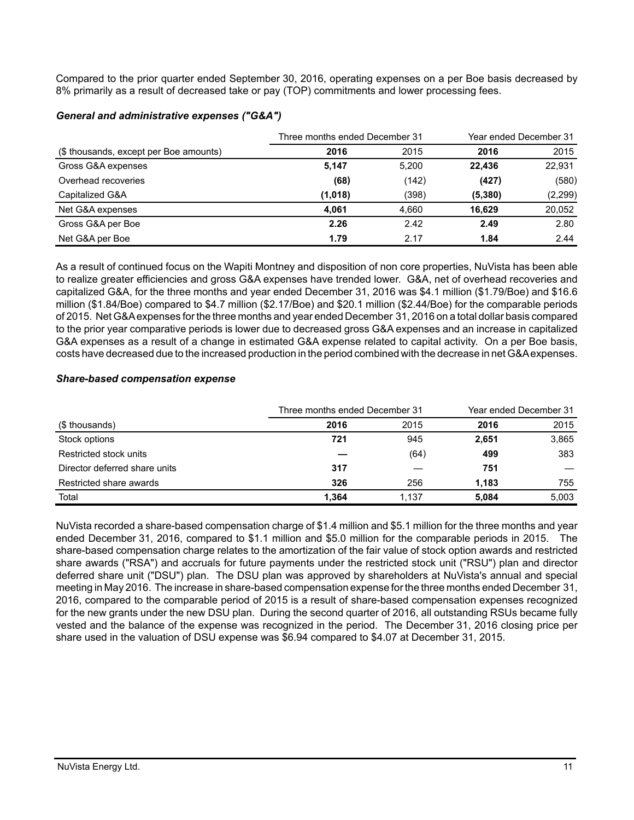Compared to the prior quarter ended September 30, 2016, operating expenses on a per Boe basis decreased by 8% primarily as a result of decreased take or pay (TOP) commitments and lower processing fees.

|                                        | Three months ended December 31 | Year ended December 31 |         |          |
|----------------------------------------|--------------------------------|------------------------|---------|----------|
| (\$ thousands, except per Boe amounts) | 2016                           | 2015                   | 2016    | 2015     |
| Gross G&A expenses                     | 5,147                          | 5.200                  | 22.436  | 22,931   |
| Overhead recoveries                    | (68)                           | (142)                  | (427)   | (580)    |
| Capitalized G&A                        | (1,018)                        | (398)                  | (5,380) | (2, 299) |
| Net G&A expenses                       | 4.061                          | 4.660                  | 16.629  | 20,052   |
| Gross G&A per Boe                      | 2.26                           | 2.42                   | 2.49    | 2.80     |
| Net G&A per Boe                        | 1.79                           | 2.17                   | 1.84    | 2.44     |

### *General and administrative expenses ("G&A")*

As a result of continued focus on the Wapiti Montney and disposition of non core properties, NuVista has been able to realize greater efficiencies and gross G&A expenses have trended lower. G&A, net of overhead recoveries and capitalized G&A, for the three months and year ended December 31, 2016 was \$4.1 million (\$1.79/Boe) and \$16.6 million (\$1.84/Boe) compared to \$4.7 million (\$2.17/Boe) and \$20.1 million (\$2.44/Boe) for the comparable periods of 2015. Net G&A expenses for the three months and year ended December 31, 2016 on a total dollar basis compared to the prior year comparative periods is lower due to decreased gross G&A expenses and an increase in capitalized G&A expenses as a result of a change in estimated G&A expense related to capital activity. On a per Boe basis, costs have decreased due to the increased production in the period combined with the decrease in net G&A expenses.

# *Share-based compensation expense*

|                               | Three months ended December 31 | Year ended December 31 |       |       |
|-------------------------------|--------------------------------|------------------------|-------|-------|
| (\$ thousands)                | 2016                           | 2015                   | 2016  | 2015  |
| Stock options                 | 721                            | 945                    | 2,651 | 3,865 |
| Restricted stock units        |                                | (64)                   | 499   | 383   |
| Director deferred share units | 317                            |                        | 751   |       |
| Restricted share awards       | 326                            | 256                    | 1.183 | 755   |
| Total                         | 1.364                          | 1.137                  | 5.084 | 5,003 |

NuVista recorded a share-based compensation charge of \$1.4 million and \$5.1 million for the three months and year ended December 31, 2016, compared to \$1.1 million and \$5.0 million for the comparable periods in 2015. The share-based compensation charge relates to the amortization of the fair value of stock option awards and restricted share awards ("RSA") and accruals for future payments under the restricted stock unit ("RSU") plan and director deferred share unit ("DSU") plan. The DSU plan was approved by shareholders at NuVista's annual and special meeting in May 2016. The increase in share-based compensation expense for the three months ended December 31, 2016, compared to the comparable period of 2015 is a result of share-based compensation expenses recognized for the new grants under the new DSU plan. During the second quarter of 2016, all outstanding RSUs became fully vested and the balance of the expense was recognized in the period. The December 31, 2016 closing price per share used in the valuation of DSU expense was \$6.94 compared to \$4.07 at December 31, 2015.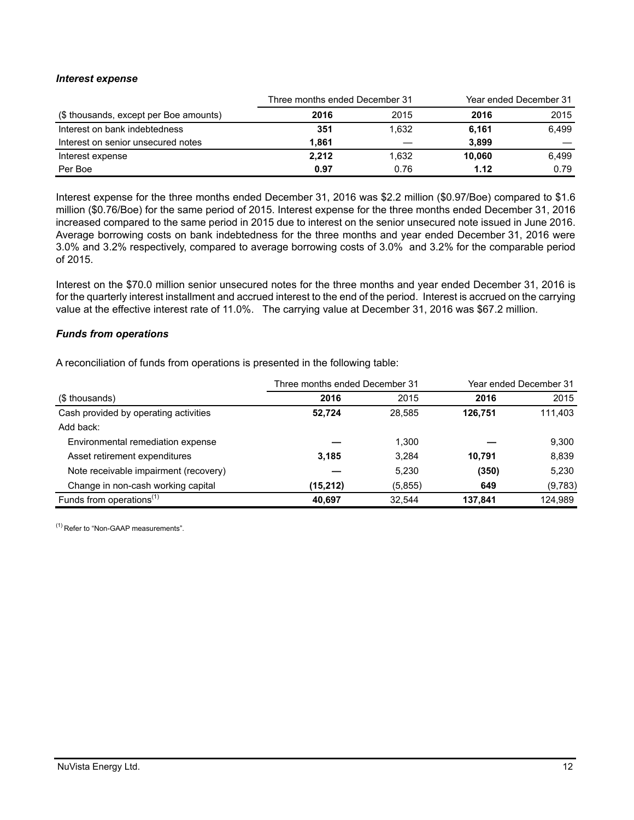### *Interest expense*

|                                        | Three months ended December 31 |       | Year ended December 31 |       |
|----------------------------------------|--------------------------------|-------|------------------------|-------|
| (\$ thousands, except per Boe amounts) | 2016                           | 2015  | 2016                   | 2015  |
| Interest on bank indebtedness          | 351                            | 1.632 | 6,161                  | 6.499 |
| Interest on senior unsecured notes     | 1.861                          |       | 3.899                  |       |
| Interest expense                       | 2.212                          | 1.632 | 10.060                 | 6.499 |
| Per Boe                                | 0.97                           | 0.76  | 1.12                   | 0.79  |

Interest expense for the three months ended December 31, 2016 was \$2.2 million (\$0.97/Boe) compared to \$1.6 million (\$0.76/Boe) for the same period of 2015. Interest expense for the three months ended December 31, 2016 increased compared to the same period in 2015 due to interest on the senior unsecured note issued in June 2016. Average borrowing costs on bank indebtedness for the three months and year ended December 31, 2016 were 3.0% and 3.2% respectively, compared to average borrowing costs of 3.0% and 3.2% for the comparable period of 2015.

Interest on the \$70.0 million senior unsecured notes for the three months and year ended December 31, 2016 is for the quarterly interest installment and accrued interest to the end of the period. Interest is accrued on the carrying value at the effective interest rate of 11.0%. The carrying value at December 31, 2016 was \$67.2 million.

#### *Funds from operations*

A reconciliation of funds from operations is presented in the following table:

|                                       | Three months ended December 31 |         | Year ended December 31 |         |  |
|---------------------------------------|--------------------------------|---------|------------------------|---------|--|
| (\$ thousands)                        | 2016                           | 2015    | 2016                   | 2015    |  |
| Cash provided by operating activities | 52.724                         | 28.585  | 126.751                | 111,403 |  |
| Add back:                             |                                |         |                        |         |  |
| Environmental remediation expense     |                                | 1,300   |                        | 9,300   |  |
| Asset retirement expenditures         | 3,185                          | 3.284   | 10.791                 | 8,839   |  |
| Note receivable impairment (recovery) |                                | 5,230   | (350)                  | 5,230   |  |
| Change in non-cash working capital    | (15,212)                       | (5,855) | 649                    | (9,783) |  |
| Funds from operations $(1)$           | 40,697                         | 32.544  | 137.841                | 124,989 |  |

(1) Refer to "Non-GAAP measurements".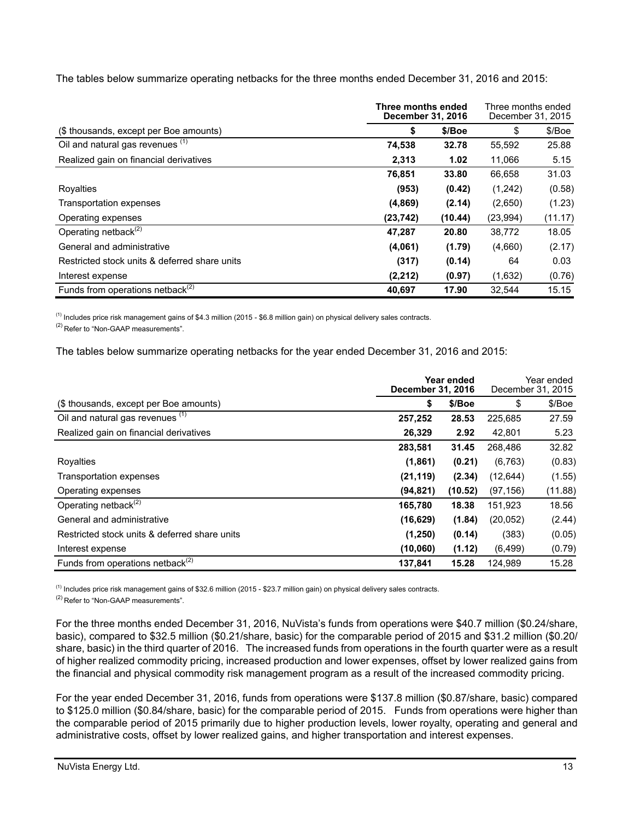The tables below summarize operating netbacks for the three months ended December 31, 2016 and 2015:

|                                               | Three months ended<br><b>December 31, 2016</b> | Three months ended<br>December 31, 2015 |          |         |
|-----------------------------------------------|------------------------------------------------|-----------------------------------------|----------|---------|
| (\$ thousands, except per Boe amounts)        | \$                                             | \$/Boe                                  | \$       | \$/Boe  |
| Oil and natural gas revenues (1)              | 74,538                                         | 32.78                                   | 55,592   | 25.88   |
| Realized gain on financial derivatives        | 2,313                                          | 1.02                                    | 11,066   | 5.15    |
|                                               | 76,851                                         | 33.80                                   | 66,658   | 31.03   |
| Royalties                                     | (953)                                          | (0.42)                                  | (1,242)  | (0.58)  |
| Transportation expenses                       | (4,869)                                        | (2.14)                                  | (2,650)  | (1.23)  |
| Operating expenses                            | (23,742)                                       | (10.44)                                 | (23,994) | (11.17) |
| Operating netback $(2)$                       | 47,287                                         | 20.80                                   | 38,772   | 18.05   |
| General and administrative                    | (4,061)                                        | (1.79)                                  | (4,660)  | (2.17)  |
| Restricted stock units & deferred share units | (317)                                          | (0.14)                                  | 64       | 0.03    |
| Interest expense                              | (2, 212)                                       | (0.97)                                  | (1,632)  | (0.76)  |
| Funds from operations netback <sup>(2)</sup>  | 40.697                                         | 17.90                                   | 32.544   | 15.15   |

 $<sup>(1)</sup>$  Includes price risk management gains of \$4.3 million (2015 - \$6.8 million gain) on physical delivery sales contracts.</sup>

<sup>(2)</sup> Refer to "Non-GAAP measurements".

The tables below summarize operating netbacks for the year ended December 31, 2016 and 2015:

|                                               | Year ended<br><b>December 31, 2016</b> |         |           | Year ended<br>December 31, 2015 |  |
|-----------------------------------------------|----------------------------------------|---------|-----------|---------------------------------|--|
| (\$ thousands, except per Boe amounts)        | \$                                     | \$/Boe  | \$        | \$/Boe                          |  |
| Oil and natural gas revenues (1)              | 257,252                                | 28.53   | 225,685   | 27.59                           |  |
| Realized gain on financial derivatives        | 26,329                                 | 2.92    | 42,801    | 5.23                            |  |
|                                               | 283,581                                | 31.45   | 268,486   | 32.82                           |  |
| Royalties                                     | (1,861)                                | (0.21)  | (6, 763)  | (0.83)                          |  |
| Transportation expenses                       | (21, 119)                              | (2.34)  | (12,644)  | (1.55)                          |  |
| Operating expenses                            | (94, 821)                              | (10.52) | (97, 156) | (11.88)                         |  |
| Operating netback $^{(2)}$                    | 165,780                                | 18.38   | 151,923   | 18.56                           |  |
| General and administrative                    | (16, 629)                              | (1.84)  | (20, 052) | (2.44)                          |  |
| Restricted stock units & deferred share units | (1,250)                                | (0.14)  | (383)     | (0.05)                          |  |
| Interest expense                              | (10,060)                               | (1.12)  | (6, 499)  | (0.79)                          |  |
| Funds from operations netback $(2)$           | 137,841                                | 15.28   | 124,989   | 15.28                           |  |

(1) Includes price risk management gains of \$32.6 million (2015 - \$23.7 million gain) on physical delivery sales contracts.

(2) Refer to "Non-GAAP measurements".

For the three months ended December 31, 2016, NuVista's funds from operations were \$40.7 million (\$0.24/share, basic), compared to \$32.5 million (\$0.21/share, basic) for the comparable period of 2015 and \$31.2 million (\$0.20/ share, basic) in the third quarter of 2016. The increased funds from operations in the fourth quarter were as a result of higher realized commodity pricing, increased production and lower expenses, offset by lower realized gains from the financial and physical commodity risk management program as a result of the increased commodity pricing.

For the year ended December 31, 2016, funds from operations were \$137.8 million (\$0.87/share, basic) compared to \$125.0 million (\$0.84/share, basic) for the comparable period of 2015. Funds from operations were higher than the comparable period of 2015 primarily due to higher production levels, lower royalty, operating and general and administrative costs, offset by lower realized gains, and higher transportation and interest expenses.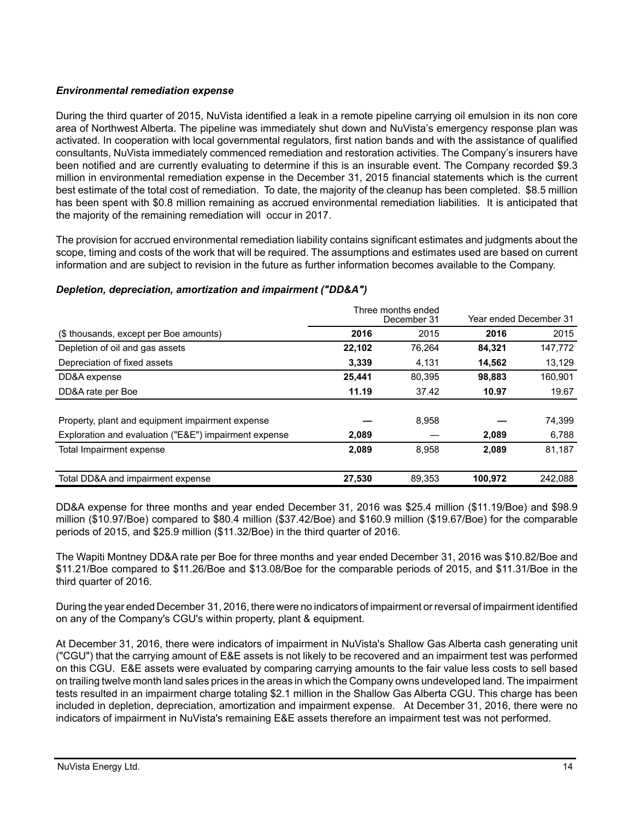# *Environmental remediation expense*

During the third quarter of 2015, NuVista identified a leak in a remote pipeline carrying oil emulsion in its non core area of Northwest Alberta. The pipeline was immediately shut down and NuVista's emergency response plan was activated. In cooperation with local governmental regulators, first nation bands and with the assistance of qualified consultants, NuVista immediately commenced remediation and restoration activities. The Company's insurers have been notified and are currently evaluating to determine if this is an insurable event. The Company recorded \$9.3 million in environmental remediation expense in the December 31, 2015 financial statements which is the current best estimate of the total cost of remediation. To date, the majority of the cleanup has been completed. \$8.5 million has been spent with \$0.8 million remaining as accrued environmental remediation liabilities. It is anticipated that the majority of the remaining remediation will occur in 2017.

The provision for accrued environmental remediation liability contains significant estimates and judgments about the scope, timing and costs of the work that will be required. The assumptions and estimates used are based on current information and are subject to revision in the future as further information becomes available to the Company.

|                                                       |        | Three months ended |         |                        |  |
|-------------------------------------------------------|--------|--------------------|---------|------------------------|--|
|                                                       |        | December 31        |         | Year ended December 31 |  |
| (\$ thousands, except per Boe amounts)                | 2016   | 2015               | 2016    | 2015                   |  |
| Depletion of oil and gas assets                       | 22,102 | 76,264             | 84,321  | 147,772                |  |
| Depreciation of fixed assets                          | 3,339  | 4,131              | 14,562  | 13,129                 |  |
| DD&A expense                                          | 25,441 | 80.395             | 98,883  | 160,901                |  |
| DD&A rate per Boe                                     | 11.19  | 37.42              | 10.97   | 19.67                  |  |
|                                                       |        |                    |         |                        |  |
| Property, plant and equipment impairment expense      |        | 8,958              |         | 74,399                 |  |
| Exploration and evaluation ("E&E") impairment expense | 2,089  |                    | 2,089   | 6,788                  |  |
| Total Impairment expense                              | 2,089  | 8.958              | 2,089   | 81,187                 |  |
|                                                       |        |                    |         |                        |  |
| Total DD&A and impairment expense                     | 27,530 | 89.353             | 100,972 | 242.088                |  |

### *Depletion, depreciation, amortization and impairment ("DD&A")*

DD&A expense for three months and year ended December 31, 2016 was \$25.4 million (\$11.19/Boe) and \$98.9 million (\$10.97/Boe) compared to \$80.4 million (\$37.42/Boe) and \$160.9 million (\$19.67/Boe) for the comparable periods of 2015, and \$25.9 million (\$11.32/Boe) in the third quarter of 2016.

The Wapiti Montney DD&A rate per Boe for three months and year ended December 31, 2016 was \$10.82/Boe and \$11.21/Boe compared to \$11.26/Boe and \$13.08/Boe for the comparable periods of 2015, and \$11.31/Boe in the third quarter of 2016.

During the year ended December 31, 2016, there were no indicators of impairment or reversal of impairment identified on any of the Company's CGU's within property, plant & equipment.

At December 31, 2016, there were indicators of impairment in NuVista's Shallow Gas Alberta cash generating unit ("CGU") that the carrying amount of E&E assets is not likely to be recovered and an impairment test was performed on this CGU. E&E assets were evaluated by comparing carrying amounts to the fair value less costs to sell based on trailing twelve month land sales prices in the areas in which the Company owns undeveloped land. The impairment tests resulted in an impairment charge totaling \$2.1 million in the Shallow Gas Alberta CGU. This charge has been included in depletion, depreciation, amortization and impairment expense. At December 31, 2016, there were no indicators of impairment in NuVista's remaining E&E assets therefore an impairment test was not performed.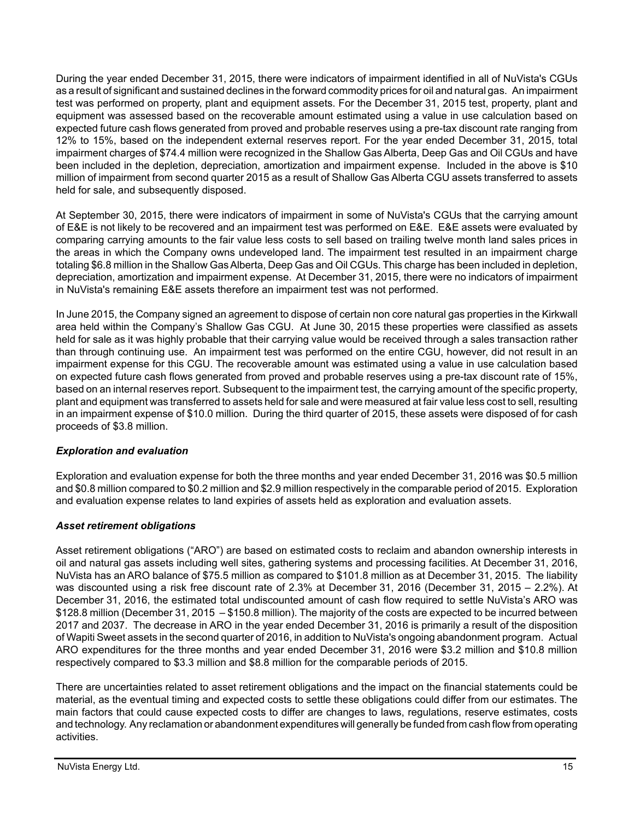During the year ended December 31, 2015, there were indicators of impairment identified in all of NuVista's CGUs as a result of significant and sustained declines in the forward commodity prices for oil and natural gas. An impairment test was performed on property, plant and equipment assets. For the December 31, 2015 test, property, plant and equipment was assessed based on the recoverable amount estimated using a value in use calculation based on expected future cash flows generated from proved and probable reserves using a pre-tax discount rate ranging from 12% to 15%, based on the independent external reserves report. For the year ended December 31, 2015, total impairment charges of \$74.4 million were recognized in the Shallow Gas Alberta, Deep Gas and Oil CGUs and have been included in the depletion, depreciation, amortization and impairment expense. Included in the above is \$10 million of impairment from second quarter 2015 as a result of Shallow Gas Alberta CGU assets transferred to assets held for sale, and subsequently disposed.

At September 30, 2015, there were indicators of impairment in some of NuVista's CGUs that the carrying amount of E&E is not likely to be recovered and an impairment test was performed on E&E. E&E assets were evaluated by comparing carrying amounts to the fair value less costs to sell based on trailing twelve month land sales prices in the areas in which the Company owns undeveloped land. The impairment test resulted in an impairment charge totaling \$6.8 million in the Shallow Gas Alberta, Deep Gas and Oil CGUs. This charge has been included in depletion, depreciation, amortization and impairment expense. At December 31, 2015, there were no indicators of impairment in NuVista's remaining E&E assets therefore an impairment test was not performed.

In June 2015, the Company signed an agreement to dispose of certain non core natural gas properties in the Kirkwall area held within the Company's Shallow Gas CGU. At June 30, 2015 these properties were classified as assets held for sale as it was highly probable that their carrying value would be received through a sales transaction rather than through continuing use. An impairment test was performed on the entire CGU, however, did not result in an impairment expense for this CGU. The recoverable amount was estimated using a value in use calculation based on expected future cash flows generated from proved and probable reserves using a pre-tax discount rate of 15%, based on an internal reserves report. Subsequent to the impairment test, the carrying amount of the specific property, plant and equipment was transferred to assets held for sale and were measured at fair value less cost to sell, resulting in an impairment expense of \$10.0 million. During the third quarter of 2015, these assets were disposed of for cash proceeds of \$3.8 million.

# *Exploration and evaluation*

Exploration and evaluation expense for both the three months and year ended December 31, 2016 was \$0.5 million and \$0.8 million compared to \$0.2 million and \$2.9 million respectively in the comparable period of 2015. Exploration and evaluation expense relates to land expiries of assets held as exploration and evaluation assets.

### *Asset retirement obligations*

Asset retirement obligations ("ARO") are based on estimated costs to reclaim and abandon ownership interests in oil and natural gas assets including well sites, gathering systems and processing facilities. At December 31, 2016, NuVista has an ARO balance of \$75.5 million as compared to \$101.8 million as at December 31, 2015. The liability was discounted using a risk free discount rate of 2.3% at December 31, 2016 (December 31, 2015 – 2.2%). At December 31, 2016, the estimated total undiscounted amount of cash flow required to settle NuVista's ARO was \$128.8 million (December 31, 2015 – \$150.8 million). The majority of the costs are expected to be incurred between 2017 and 2037. The decrease in ARO in the year ended December 31, 2016 is primarily a result of the disposition of Wapiti Sweet assets in the second quarter of 2016, in addition to NuVista's ongoing abandonment program. Actual ARO expenditures for the three months and year ended December 31, 2016 were \$3.2 million and \$10.8 million respectively compared to \$3.3 million and \$8.8 million for the comparable periods of 2015.

There are uncertainties related to asset retirement obligations and the impact on the financial statements could be material, as the eventual timing and expected costs to settle these obligations could differ from our estimates. The main factors that could cause expected costs to differ are changes to laws, regulations, reserve estimates, costs and technology. Any reclamation or abandonment expenditures will generally be funded from cash flow from operating activities.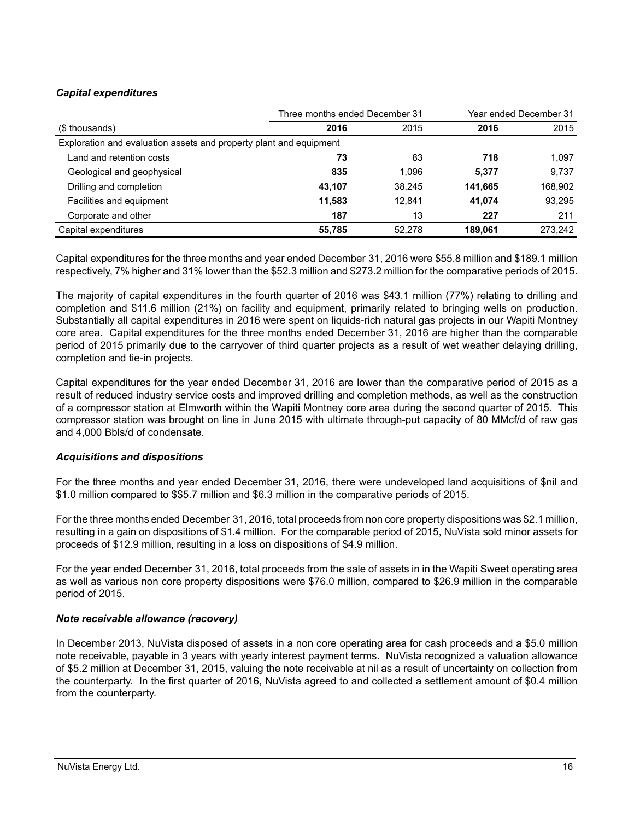# *Capital expenditures*

|                                                                    | Three months ended December 31 | Year ended December 31 |         |         |
|--------------------------------------------------------------------|--------------------------------|------------------------|---------|---------|
| (\$ thousands)                                                     | 2016                           | 2015                   | 2016    | 2015    |
| Exploration and evaluation assets and property plant and equipment |                                |                        |         |         |
| Land and retention costs                                           | 73                             | 83                     | 718     | 1,097   |
| Geological and geophysical                                         | 835                            | 1.096                  | 5,377   | 9,737   |
| Drilling and completion                                            | 43.107                         | 38.245                 | 141.665 | 168,902 |
| Facilities and equipment                                           | 11,583                         | 12.841                 | 41.074  | 93,295  |
| Corporate and other                                                | 187                            | 13                     | 227     | 211     |
| Capital expenditures                                               | 55,785                         | 52,278                 | 189.061 | 273,242 |

Capital expenditures for the three months and year ended December 31, 2016 were \$55.8 million and \$189.1 million respectively, 7% higher and 31% lower than the \$52.3 million and \$273.2 million for the comparative periods of 2015.

The majority of capital expenditures in the fourth quarter of 2016 was \$43.1 million (77%) relating to drilling and completion and \$11.6 million (21%) on facility and equipment, primarily related to bringing wells on production. Substantially all capital expenditures in 2016 were spent on liquids-rich natural gas projects in our Wapiti Montney core area. Capital expenditures for the three months ended December 31, 2016 are higher than the comparable period of 2015 primarily due to the carryover of third quarter projects as a result of wet weather delaying drilling, completion and tie-in projects.

Capital expenditures for the year ended December 31, 2016 are lower than the comparative period of 2015 as a result of reduced industry service costs and improved drilling and completion methods, as well as the construction of a compressor station at Elmworth within the Wapiti Montney core area during the second quarter of 2015. This compressor station was brought on line in June 2015 with ultimate through-put capacity of 80 MMcf/d of raw gas and 4,000 Bbls/d of condensate.

### *Acquisitions and dispositions*

For the three months and year ended December 31, 2016, there were undeveloped land acquisitions of \$nil and \$1.0 million compared to \$\$5.7 million and \$6.3 million in the comparative periods of 2015.

For the three months ended December 31, 2016, total proceeds from non core property dispositions was \$2.1 million, resulting in a gain on dispositions of \$1.4 million. For the comparable period of 2015, NuVista sold minor assets for proceeds of \$12.9 million, resulting in a loss on dispositions of \$4.9 million.

For the year ended December 31, 2016, total proceeds from the sale of assets in in the Wapiti Sweet operating area as well as various non core property dispositions were \$76.0 million, compared to \$26.9 million in the comparable period of 2015.

### *Note receivable allowance (recovery)*

In December 2013, NuVista disposed of assets in a non core operating area for cash proceeds and a \$5.0 million note receivable, payable in 3 years with yearly interest payment terms. NuVista recognized a valuation allowance of \$5.2 million at December 31, 2015, valuing the note receivable at nil as a result of uncertainty on collection from the counterparty. In the first quarter of 2016, NuVista agreed to and collected a settlement amount of \$0.4 million from the counterparty.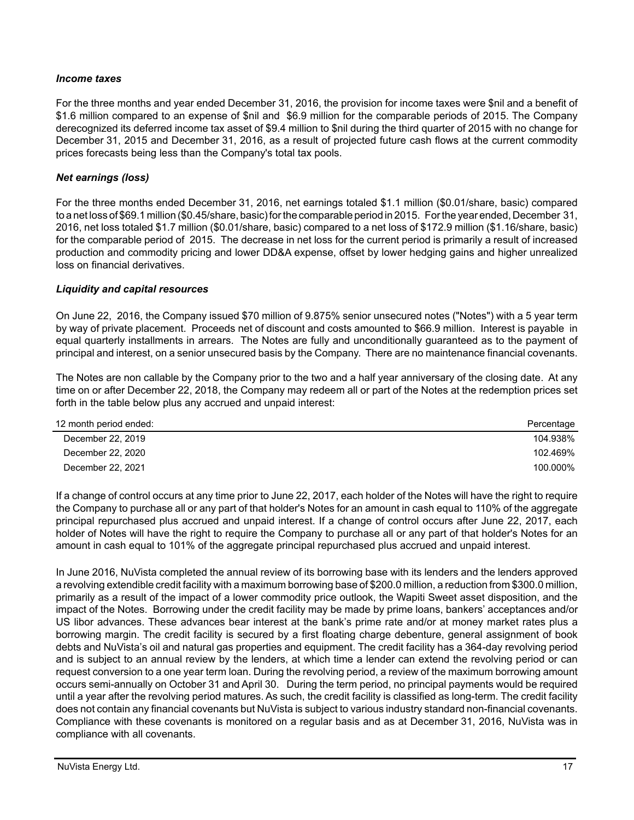### *Income taxes*

For the three months and year ended December 31, 2016, the provision for income taxes were \$nil and a benefit of \$1.6 million compared to an expense of \$nil and \$6.9 million for the comparable periods of 2015. The Company derecognized its deferred income tax asset of \$9.4 million to \$nil during the third quarter of 2015 with no change for December 31, 2015 and December 31, 2016, as a result of projected future cash flows at the current commodity prices forecasts being less than the Company's total tax pools.

#### *Net earnings (loss)*

For the three months ended December 31, 2016, net earnings totaled \$1.1 million (\$0.01/share, basic) compared to a net loss of \$69.1 million (\$0.45/share, basic) for the comparable period in 2015. For the year ended, December 31, 2016, net loss totaled \$1.7 million (\$0.01/share, basic) compared to a net loss of \$172.9 million (\$1.16/share, basic) for the comparable period of 2015. The decrease in net loss for the current period is primarily a result of increased production and commodity pricing and lower DD&A expense, offset by lower hedging gains and higher unrealized loss on financial derivatives.

#### *Liquidity and capital resources*

On June 22, 2016, the Company issued \$70 million of 9.875% senior unsecured notes ("Notes") with a 5 year term by way of private placement. Proceeds net of discount and costs amounted to \$66.9 million. Interest is payable in equal quarterly installments in arrears. The Notes are fully and unconditionally guaranteed as to the payment of principal and interest, on a senior unsecured basis by the Company. There are no maintenance financial covenants.

The Notes are non callable by the Company prior to the two and a half year anniversary of the closing date. At any time on or after December 22, 2018, the Company may redeem all or part of the Notes at the redemption prices set forth in the table below plus any accrued and unpaid interest:

| 12 month period ended: | Percentage |
|------------------------|------------|
| December 22, 2019      | 104.938%   |
| December 22, 2020      | 102.469%   |
| December 22, 2021      | 100.000%   |

If a change of control occurs at any time prior to June 22, 2017, each holder of the Notes will have the right to require the Company to purchase all or any part of that holder's Notes for an amount in cash equal to 110% of the aggregate principal repurchased plus accrued and unpaid interest. If a change of control occurs after June 22, 2017, each holder of Notes will have the right to require the Company to purchase all or any part of that holder's Notes for an amount in cash equal to 101% of the aggregate principal repurchased plus accrued and unpaid interest.

In June 2016, NuVista completed the annual review of its borrowing base with its lenders and the lenders approved a revolving extendible credit facility with a maximum borrowing base of \$200.0 million, a reduction from \$300.0 million, primarily as a result of the impact of a lower commodity price outlook, the Wapiti Sweet asset disposition, and the impact of the Notes. Borrowing under the credit facility may be made by prime loans, bankers' acceptances and/or US libor advances. These advances bear interest at the bank's prime rate and/or at money market rates plus a borrowing margin. The credit facility is secured by a first floating charge debenture, general assignment of book debts and NuVista's oil and natural gas properties and equipment. The credit facility has a 364-day revolving period and is subject to an annual review by the lenders, at which time a lender can extend the revolving period or can request conversion to a one year term loan. During the revolving period, a review of the maximum borrowing amount occurs semi-annually on October 31 and April 30. During the term period, no principal payments would be required until a year after the revolving period matures. As such, the credit facility is classified as long-term. The credit facility does not contain any financial covenants but NuVista is subject to various industry standard non-financial covenants. Compliance with these covenants is monitored on a regular basis and as at December 31, 2016, NuVista was in compliance with all covenants.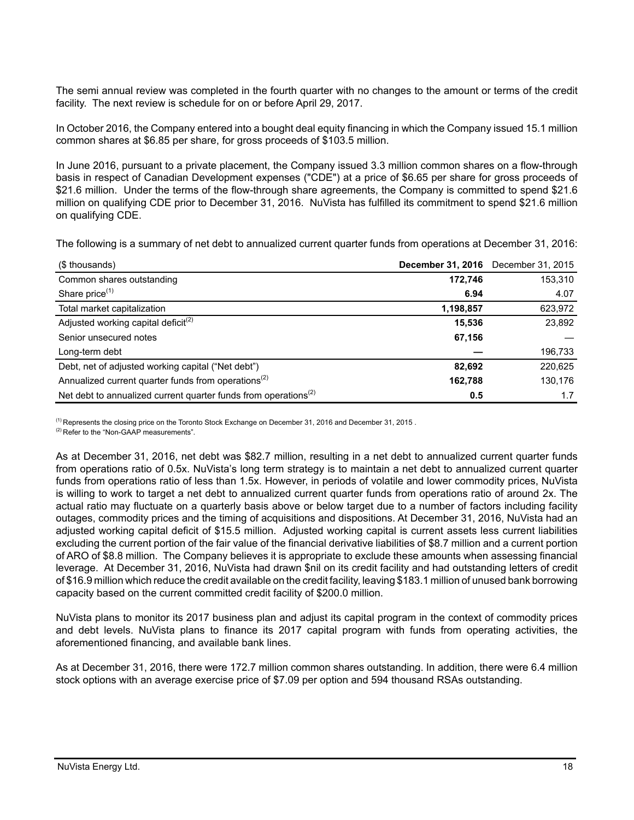The semi annual review was completed in the fourth quarter with no changes to the amount or terms of the credit facility. The next review is schedule for on or before April 29, 2017.

In October 2016, the Company entered into a bought deal equity financing in which the Company issued 15.1 million common shares at \$6.85 per share, for gross proceeds of \$103.5 million.

In June 2016, pursuant to a private placement, the Company issued 3.3 million common shares on a flow-through basis in respect of Canadian Development expenses ("CDE") at a price of \$6.65 per share for gross proceeds of \$21.6 million. Under the terms of the flow-through share agreements, the Company is committed to spend \$21.6 million on qualifying CDE prior to December 31, 2016. NuVista has fulfilled its commitment to spend \$21.6 million on qualifying CDE.

The following is a summary of net debt to annualized current quarter funds from operations at December 31, 2016:

| (\$ thousands)                                                              |           | <b>December 31, 2016</b> December 31, 2015 |
|-----------------------------------------------------------------------------|-----------|--------------------------------------------|
| Common shares outstanding                                                   | 172,746   | 153,310                                    |
| Share price <sup>(1)</sup>                                                  | 6.94      | 4.07                                       |
| Total market capitalization                                                 | 1,198,857 | 623,972                                    |
| Adjusted working capital deficit <sup>(2)</sup>                             | 15,536    | 23,892                                     |
| Senior unsecured notes                                                      | 67,156    |                                            |
| Long-term debt                                                              |           | 196,733                                    |
| Debt, net of adjusted working capital ("Net debt")                          | 82,692    | 220,625                                    |
| Annualized current quarter funds from operations <sup>(2)</sup>             | 162,788   | 130,176                                    |
| Net debt to annualized current quarter funds from operations <sup>(2)</sup> | 0.5       | 1.7                                        |

<sup>(1)</sup> Represents the closing price on the Toronto Stock Exchange on December 31, 2016 and December 31, 2015.

(2) Refer to the "Non-GAAP measurements".

As at December 31, 2016, net debt was \$82.7 million, resulting in a net debt to annualized current quarter funds from operations ratio of 0.5x. NuVista's long term strategy is to maintain a net debt to annualized current quarter funds from operations ratio of less than 1.5x. However, in periods of volatile and lower commodity prices, NuVista is willing to work to target a net debt to annualized current quarter funds from operations ratio of around 2x. The actual ratio may fluctuate on a quarterly basis above or below target due to a number of factors including facility outages, commodity prices and the timing of acquisitions and dispositions. At December 31, 2016, NuVista had an adjusted working capital deficit of \$15.5 million. Adjusted working capital is current assets less current liabilities excluding the current portion of the fair value of the financial derivative liabilities of \$8.7 million and a current portion of ARO of \$8.8 million. The Company believes it is appropriate to exclude these amounts when assessing financial leverage. At December 31, 2016, NuVista had drawn \$nil on its credit facility and had outstanding letters of credit of \$16.9 million which reduce the credit available on the credit facility, leaving \$183.1 million of unused bank borrowing capacity based on the current committed credit facility of \$200.0 million.

NuVista plans to monitor its 2017 business plan and adjust its capital program in the context of commodity prices and debt levels. NuVista plans to finance its 2017 capital program with funds from operating activities, the aforementioned financing, and available bank lines.

As at December 31, 2016, there were 172.7 million common shares outstanding. In addition, there were 6.4 million stock options with an average exercise price of \$7.09 per option and 594 thousand RSAs outstanding.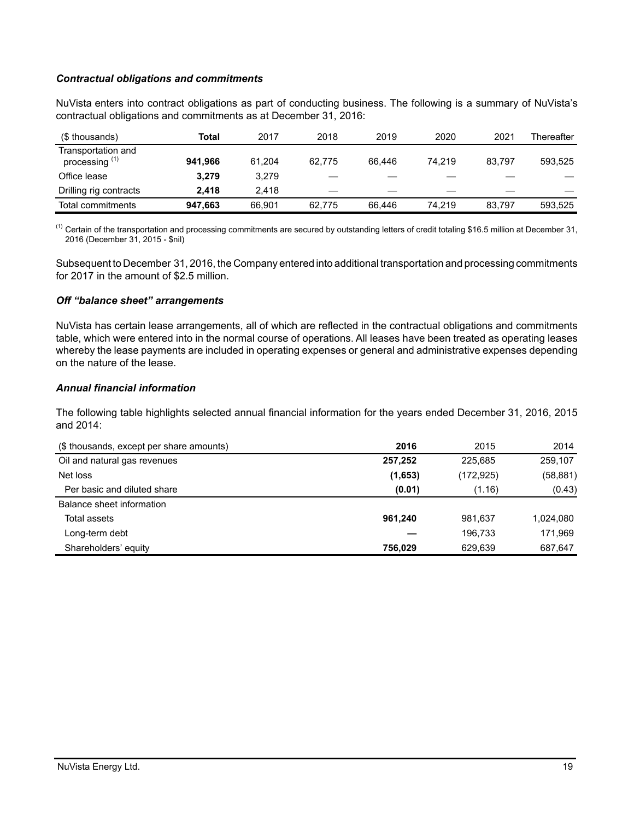### *Contractual obligations and commitments*

NuVista enters into contract obligations as part of conducting business. The following is a summary of NuVista's contractual obligations and commitments as at December 31, 2016:

| (\$ thousands)                                  | Total   | 2017   | 2018   | 2019   | 2020   | 2021   | Thereafter |
|-------------------------------------------------|---------|--------|--------|--------|--------|--------|------------|
| Transportation and<br>processing <sup>(1)</sup> | 941.966 | 61.204 | 62.775 | 66.446 | 74.219 | 83.797 | 593,525    |
| Office lease                                    | 3.279   | 3.279  |        |        |        |        |            |
| Drilling rig contracts                          | 2.418   | 2.418  |        |        |        |        |            |
| Total commitments                               | 947.663 | 66.901 | 62.775 | 66.446 | 74.219 | 83.797 | 593.525    |

 $<sup>(1)</sup>$  Certain of the transportation and processing commitments are secured by outstanding letters of credit totaling \$16.5 million at December 31,</sup> 2016 (December 31, 2015 - \$nil)

Subsequent to December 31, 2016, the Company entered into additional transportation and processing commitments for 2017 in the amount of \$2.5 million.

#### *Off "balance sheet" arrangements*

NuVista has certain lease arrangements, all of which are reflected in the contractual obligations and commitments table, which were entered into in the normal course of operations. All leases have been treated as operating leases whereby the lease payments are included in operating expenses or general and administrative expenses depending on the nature of the lease.

# *Annual financial information*

The following table highlights selected annual financial information for the years ended December 31, 2016, 2015 and 2014:

| (\$ thousands, except per share amounts) | 2016    | 2015       | 2014      |
|------------------------------------------|---------|------------|-----------|
| Oil and natural gas revenues             | 257.252 | 225,685    | 259,107   |
| Net loss                                 | (1,653) | (172, 925) | (58, 881) |
| Per basic and diluted share              | (0.01)  | (1.16)     | (0.43)    |
| Balance sheet information                |         |            |           |
| Total assets                             | 961.240 | 981.637    | 1,024,080 |
| Long-term debt                           |         | 196.733    | 171.969   |
| Shareholders' equity                     | 756.029 | 629.639    | 687,647   |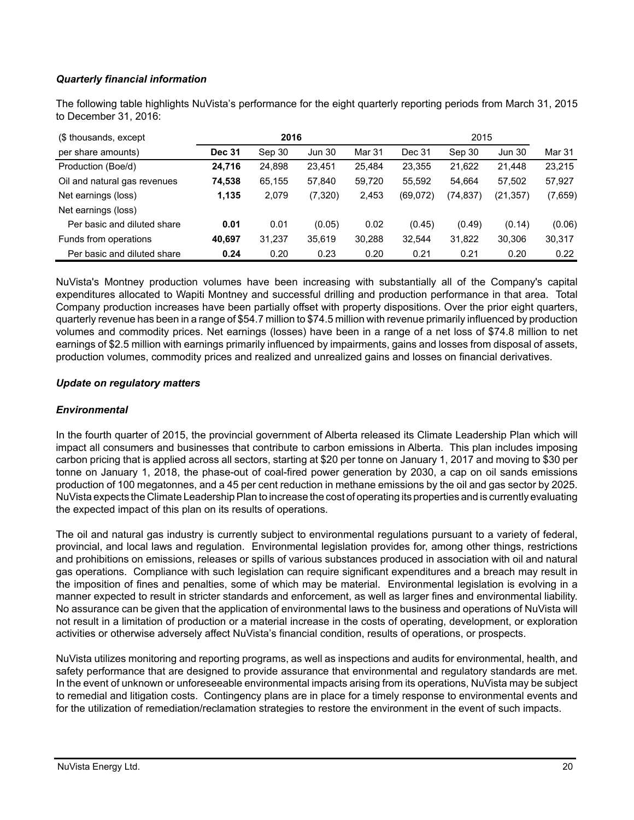# *Quarterly financial information*

The following table highlights NuVista's performance for the eight quarterly reporting periods from March 31, 2015 to December 31, 2016:

| (\$ thousands, except        |               | 2016   |               |        |          | 2015    |               |         |
|------------------------------|---------------|--------|---------------|--------|----------|---------|---------------|---------|
| per share amounts)           | <b>Dec 31</b> | Sep 30 | <b>Jun 30</b> | Mar 31 | Dec 31   | Sep 30  | <b>Jun 30</b> | Mar 31  |
| Production (Boe/d)           | 24,716        | 24,898 | 23,451        | 25,484 | 23,355   | 21,622  | 21.448        | 23,215  |
| Oil and natural gas revenues | 74,538        | 65,155 | 57,840        | 59,720 | 55,592   | 54.664  | 57.502        | 57,927  |
| Net earnings (loss)          | 1,135         | 2,079  | (7,320)       | 2,453  | (69,072) | 74,837) | (21, 357)     | (7,659) |
| Net earnings (loss)          |               |        |               |        |          |         |               |         |
| Per basic and diluted share  | 0.01          | 0.01   | (0.05)        | 0.02   | (0.45)   | (0.49)  | (0.14)        | (0.06)  |
| Funds from operations        | 40,697        | 31,237 | 35,619        | 30,288 | 32,544   | 31,822  | 30,306        | 30,317  |
| Per basic and diluted share  | 0.24          | 0.20   | 0.23          | 0.20   | 0.21     | 0.21    | 0.20          | 0.22    |

NuVista's Montney production volumes have been increasing with substantially all of the Company's capital expenditures allocated to Wapiti Montney and successful drilling and production performance in that area. Total Company production increases have been partially offset with property dispositions. Over the prior eight quarters, quarterly revenue has been in a range of \$54.7 million to \$74.5 million with revenue primarily influenced by production volumes and commodity prices. Net earnings (losses) have been in a range of a net loss of \$74.8 million to net earnings of \$2.5 million with earnings primarily influenced by impairments, gains and losses from disposal of assets, production volumes, commodity prices and realized and unrealized gains and losses on financial derivatives.

#### *Update on regulatory matters*

#### *Environmental*

In the fourth quarter of 2015, the provincial government of Alberta released its Climate Leadership Plan which will impact all consumers and businesses that contribute to carbon emissions in Alberta. This plan includes imposing carbon pricing that is applied across all sectors, starting at \$20 per tonne on January 1, 2017 and moving to \$30 per tonne on January 1, 2018, the phase-out of coal-fired power generation by 2030, a cap on oil sands emissions production of 100 megatonnes, and a 45 per cent reduction in methane emissions by the oil and gas sector by 2025. NuVista expects the Climate Leadership Plan to increase the cost of operating its properties and is currently evaluating the expected impact of this plan on its results of operations.

The oil and natural gas industry is currently subject to environmental regulations pursuant to a variety of federal, provincial, and local laws and regulation. Environmental legislation provides for, among other things, restrictions and prohibitions on emissions, releases or spills of various substances produced in association with oil and natural gas operations. Compliance with such legislation can require significant expenditures and a breach may result in the imposition of fines and penalties, some of which may be material. Environmental legislation is evolving in a manner expected to result in stricter standards and enforcement, as well as larger fines and environmental liability. No assurance can be given that the application of environmental laws to the business and operations of NuVista will not result in a limitation of production or a material increase in the costs of operating, development, or exploration activities or otherwise adversely affect NuVista's financial condition, results of operations, or prospects.

NuVista utilizes monitoring and reporting programs, as well as inspections and audits for environmental, health, and safety performance that are designed to provide assurance that environmental and regulatory standards are met. In the event of unknown or unforeseeable environmental impacts arising from its operations, NuVista may be subject to remedial and litigation costs. Contingency plans are in place for a timely response to environmental events and for the utilization of remediation/reclamation strategies to restore the environment in the event of such impacts.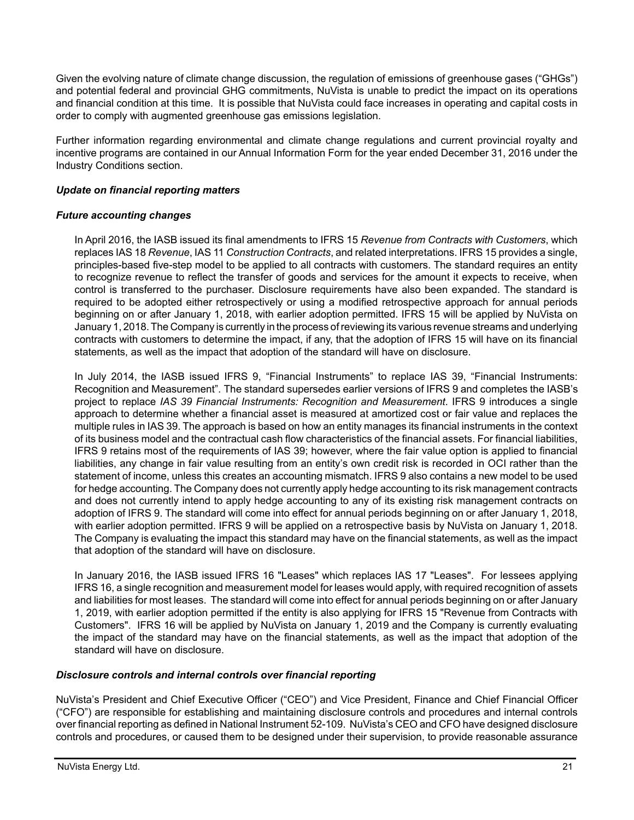Given the evolving nature of climate change discussion, the regulation of emissions of greenhouse gases ("GHGs") and potential federal and provincial GHG commitments, NuVista is unable to predict the impact on its operations and financial condition at this time. It is possible that NuVista could face increases in operating and capital costs in order to comply with augmented greenhouse gas emissions legislation.

Further information regarding environmental and climate change regulations and current provincial royalty and incentive programs are contained in our Annual Information Form for the year ended December 31, 2016 under the Industry Conditions section.

# *Update on financial reporting matters*

### *Future accounting changes*

In April 2016, the IASB issued its final amendments to IFRS 15 *Revenue from Contracts with Customers*, which replaces IAS 18 *Revenue*, IAS 11 *Construction Contracts*, and related interpretations. IFRS 15 provides a single, principles-based five-step model to be applied to all contracts with customers. The standard requires an entity to recognize revenue to reflect the transfer of goods and services for the amount it expects to receive, when control is transferred to the purchaser. Disclosure requirements have also been expanded. The standard is required to be adopted either retrospectively or using a modified retrospective approach for annual periods beginning on or after January 1, 2018, with earlier adoption permitted. IFRS 15 will be applied by NuVista on January 1, 2018. The Company is currently in the process of reviewing its various revenue streams and underlying contracts with customers to determine the impact, if any, that the adoption of IFRS 15 will have on its financial statements, as well as the impact that adoption of the standard will have on disclosure.

In July 2014, the IASB issued IFRS 9, "Financial Instruments" to replace IAS 39, "Financial Instruments: Recognition and Measurement". The standard supersedes earlier versions of IFRS 9 and completes the IASB's project to replace *IAS 39 Financial Instruments: Recognition and Measurement*. IFRS 9 introduces a single approach to determine whether a financial asset is measured at amortized cost or fair value and replaces the multiple rules in IAS 39. The approach is based on how an entity manages its financial instruments in the context of its business model and the contractual cash flow characteristics of the financial assets. For financial liabilities, IFRS 9 retains most of the requirements of IAS 39; however, where the fair value option is applied to financial liabilities, any change in fair value resulting from an entity's own credit risk is recorded in OCI rather than the statement of income, unless this creates an accounting mismatch. IFRS 9 also contains a new model to be used for hedge accounting. The Company does not currently apply hedge accounting to its risk management contracts and does not currently intend to apply hedge accounting to any of its existing risk management contracts on adoption of IFRS 9. The standard will come into effect for annual periods beginning on or after January 1, 2018, with earlier adoption permitted. IFRS 9 will be applied on a retrospective basis by NuVista on January 1, 2018. The Company is evaluating the impact this standard may have on the financial statements, as well as the impact that adoption of the standard will have on disclosure.

In January 2016, the IASB issued IFRS 16 "Leases" which replaces IAS 17 "Leases". For lessees applying IFRS 16, a single recognition and measurement model for leases would apply, with required recognition of assets and liabilities for most leases. The standard will come into effect for annual periods beginning on or after January 1, 2019, with earlier adoption permitted if the entity is also applying for IFRS 15 "Revenue from Contracts with Customers". IFRS 16 will be applied by NuVista on January 1, 2019 and the Company is currently evaluating the impact of the standard may have on the financial statements, as well as the impact that adoption of the standard will have on disclosure.

### *Disclosure controls and internal controls over financial reporting*

NuVista's President and Chief Executive Officer ("CEO") and Vice President, Finance and Chief Financial Officer ("CFO") are responsible for establishing and maintaining disclosure controls and procedures and internal controls over financial reporting as defined in National Instrument 52-109. NuVista's CEO and CFO have designed disclosure controls and procedures, or caused them to be designed under their supervision, to provide reasonable assurance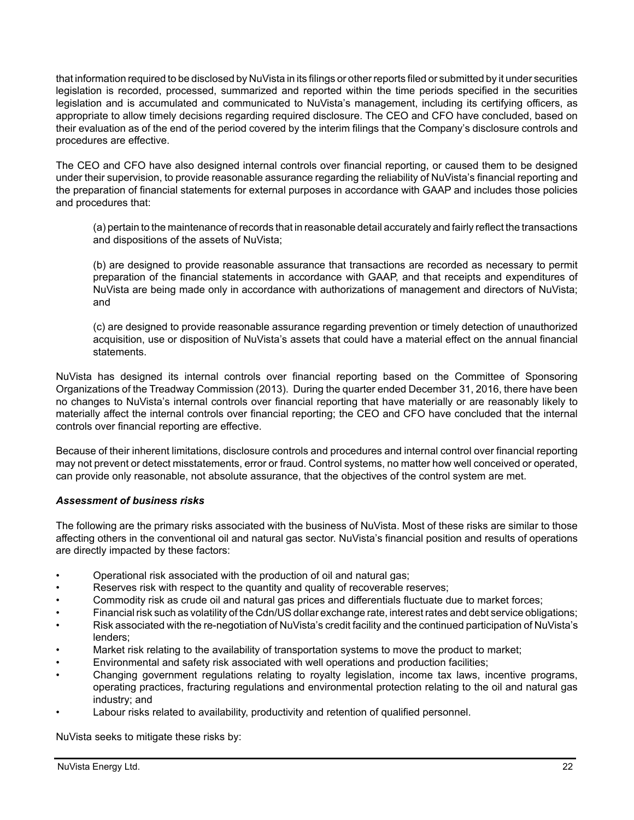that information required to be disclosed by NuVista in its filings or other reports filed or submitted by it under securities legislation is recorded, processed, summarized and reported within the time periods specified in the securities legislation and is accumulated and communicated to NuVista's management, including its certifying officers, as appropriate to allow timely decisions regarding required disclosure. The CEO and CFO have concluded, based on their evaluation as of the end of the period covered by the interim filings that the Company's disclosure controls and procedures are effective.

The CEO and CFO have also designed internal controls over financial reporting, or caused them to be designed under their supervision, to provide reasonable assurance regarding the reliability of NuVista's financial reporting and the preparation of financial statements for external purposes in accordance with GAAP and includes those policies and procedures that:

(a) pertain to the maintenance of records that in reasonable detail accurately and fairly reflect the transactions and dispositions of the assets of NuVista;

(b) are designed to provide reasonable assurance that transactions are recorded as necessary to permit preparation of the financial statements in accordance with GAAP, and that receipts and expenditures of NuVista are being made only in accordance with authorizations of management and directors of NuVista; and

(c) are designed to provide reasonable assurance regarding prevention or timely detection of unauthorized acquisition, use or disposition of NuVista's assets that could have a material effect on the annual financial statements.

NuVista has designed its internal controls over financial reporting based on the Committee of Sponsoring Organizations of the Treadway Commission (2013). During the quarter ended December 31, 2016, there have been no changes to NuVista's internal controls over financial reporting that have materially or are reasonably likely to materially affect the internal controls over financial reporting; the CEO and CFO have concluded that the internal controls over financial reporting are effective.

Because of their inherent limitations, disclosure controls and procedures and internal control over financial reporting may not prevent or detect misstatements, error or fraud. Control systems, no matter how well conceived or operated, can provide only reasonable, not absolute assurance, that the objectives of the control system are met.

### *Assessment of business risks*

The following are the primary risks associated with the business of NuVista. Most of these risks are similar to those affecting others in the conventional oil and natural gas sector. NuVista's financial position and results of operations are directly impacted by these factors:

- Operational risk associated with the production of oil and natural gas;
- Reserves risk with respect to the quantity and quality of recoverable reserves;
- Commodity risk as crude oil and natural gas prices and differentials fluctuate due to market forces;
- Financial risk such as volatility of the Cdn/US dollar exchange rate, interest rates and debt service obligations;
- Risk associated with the re-negotiation of NuVista's credit facility and the continued participation of NuVista's lenders;
- Market risk relating to the availability of transportation systems to move the product to market;
- Environmental and safety risk associated with well operations and production facilities;
- Changing government regulations relating to royalty legislation, income tax laws, incentive programs, operating practices, fracturing regulations and environmental protection relating to the oil and natural gas industry; and
- Labour risks related to availability, productivity and retention of qualified personnel.

NuVista seeks to mitigate these risks by: